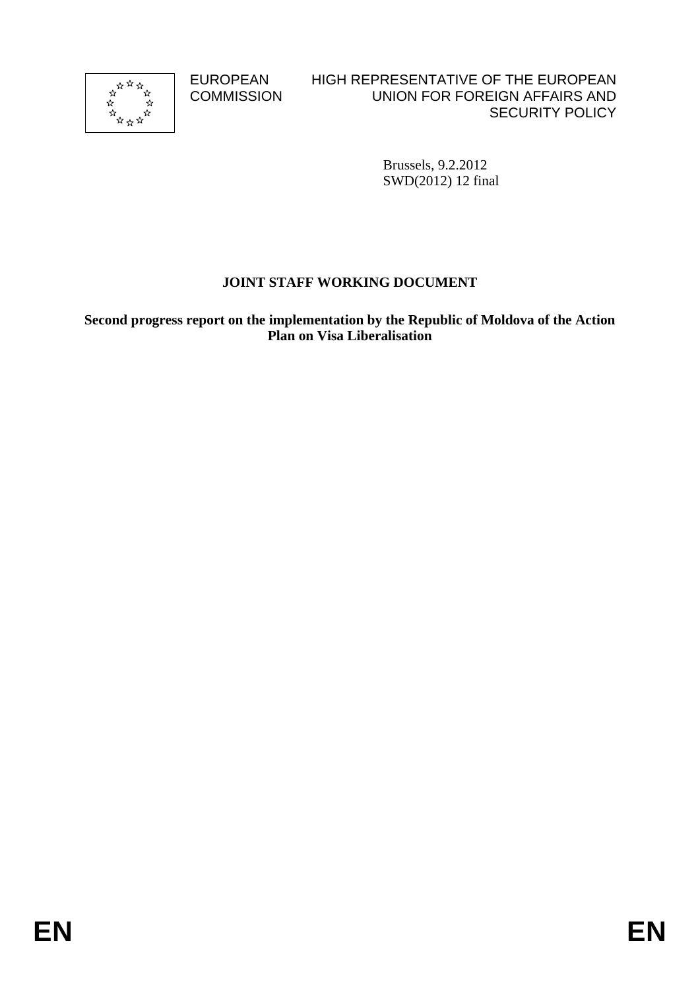

**COMMISSION** 

#### EUROPEAN HIGH REPRESENTATIVE OF THE EUROPEAN UNION FOR FOREIGN AFFAIRS AND SECURITY POLICY

Brussels, 9.2.2012 SWD(2012) 12 final

# **JOINT STAFF WORKING DOCUMENT**

**Second progress report on the implementation by the Republic of Moldova of the Action Plan on Visa Liberalisation**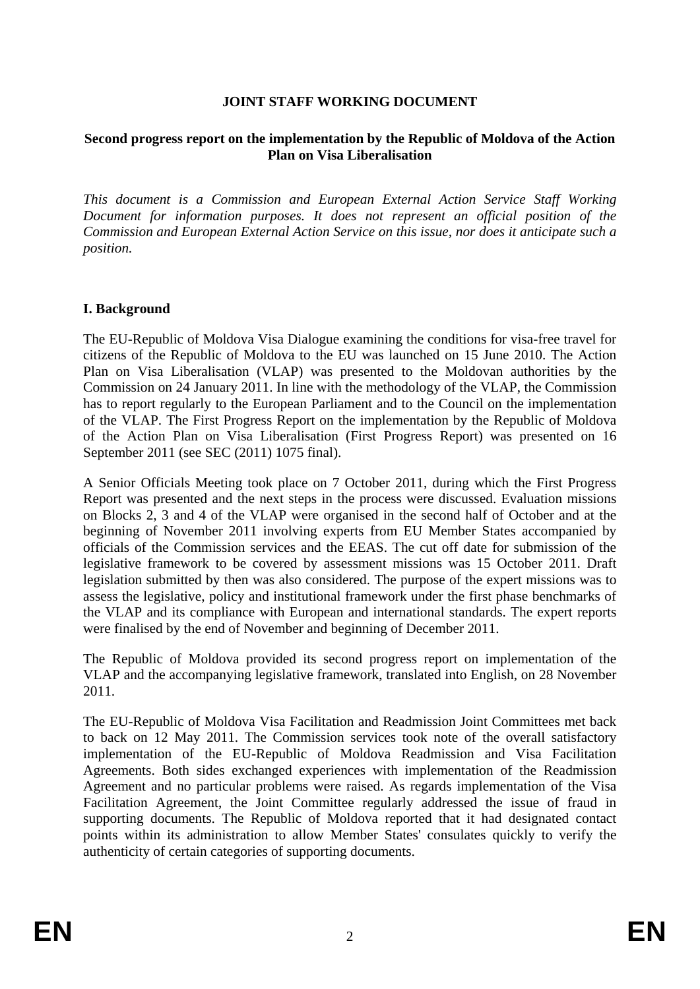#### **JOINT STAFF WORKING DOCUMENT**

#### **Second progress report on the implementation by the Republic of Moldova of the Action Plan on Visa Liberalisation**

*This document is a Commission and European External Action Service Staff Working Document for information purposes. It does not represent an official position of the Commission and European External Action Service on this issue, nor does it anticipate such a position.* 

#### **I. Background**

The EU-Republic of Moldova Visa Dialogue examining the conditions for visa-free travel for citizens of the Republic of Moldova to the EU was launched on 15 June 2010. The Action Plan on Visa Liberalisation (VLAP) was presented to the Moldovan authorities by the Commission on 24 January 2011. In line with the methodology of the VLAP, the Commission has to report regularly to the European Parliament and to the Council on the implementation of the VLAP. The First Progress Report on the implementation by the Republic of Moldova of the Action Plan on Visa Liberalisation (First Progress Report) was presented on 16 September 2011 (see SEC (2011) 1075 final).

A Senior Officials Meeting took place on 7 October 2011, during which the First Progress Report was presented and the next steps in the process were discussed. Evaluation missions on Blocks 2, 3 and 4 of the VLAP were organised in the second half of October and at the beginning of November 2011 involving experts from EU Member States accompanied by officials of the Commission services and the EEAS. The cut off date for submission of the legislative framework to be covered by assessment missions was 15 October 2011. Draft legislation submitted by then was also considered. The purpose of the expert missions was to assess the legislative, policy and institutional framework under the first phase benchmarks of the VLAP and its compliance with European and international standards. The expert reports were finalised by the end of November and beginning of December 2011.

The Republic of Moldova provided its second progress report on implementation of the VLAP and the accompanying legislative framework, translated into English, on 28 November 2011.

The EU-Republic of Moldova Visa Facilitation and Readmission Joint Committees met back to back on 12 May 2011. The Commission services took note of the overall satisfactory implementation of the EU-Republic of Moldova Readmission and Visa Facilitation Agreements. Both sides exchanged experiences with implementation of the Readmission Agreement and no particular problems were raised. As regards implementation of the Visa Facilitation Agreement, the Joint Committee regularly addressed the issue of fraud in supporting documents. The Republic of Moldova reported that it had designated contact points within its administration to allow Member States' consulates quickly to verify the authenticity of certain categories of supporting documents.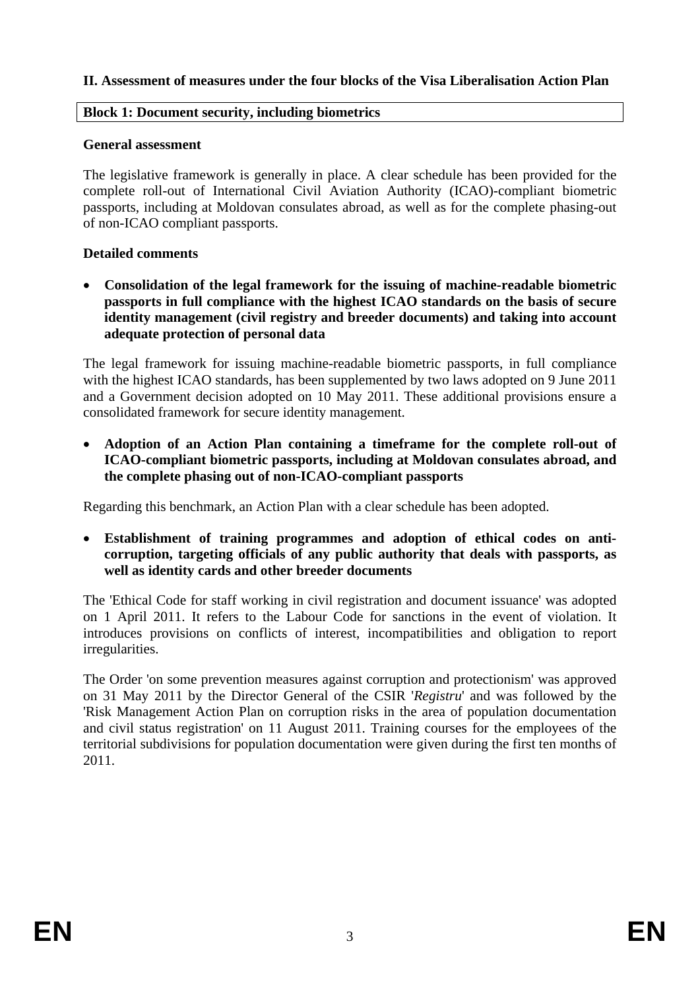#### **II. Assessment of measures under the four blocks of the Visa Liberalisation Action Plan**

#### **Block 1: Document security, including biometrics**

#### **General assessment**

The legislative framework is generally in place. A clear schedule has been provided for the complete roll-out of International Civil Aviation Authority (ICAO)-compliant biometric passports, including at Moldovan consulates abroad, as well as for the complete phasing-out of non-ICAO compliant passports.

#### **Detailed comments**

• **Consolidation of the legal framework for the issuing of machine-readable biometric passports in full compliance with the highest ICAO standards on the basis of secure identity management (civil registry and breeder documents) and taking into account adequate protection of personal data** 

The legal framework for issuing machine-readable biometric passports, in full compliance with the highest ICAO standards, has been supplemented by two laws adopted on 9 June 2011 and a Government decision adopted on 10 May 2011. These additional provisions ensure a consolidated framework for secure identity management.

• **Adoption of an Action Plan containing a timeframe for the complete roll-out of ICAO-compliant biometric passports, including at Moldovan consulates abroad, and the complete phasing out of non-ICAO-compliant passports** 

Regarding this benchmark, an Action Plan with a clear schedule has been adopted.

• **Establishment of training programmes and adoption of ethical codes on anticorruption, targeting officials of any public authority that deals with passports, as well as identity cards and other breeder documents** 

The 'Ethical Code for staff working in civil registration and document issuance' was adopted on 1 April 2011. It refers to the Labour Code for sanctions in the event of violation. It introduces provisions on conflicts of interest, incompatibilities and obligation to report irregularities.

The Order 'on some prevention measures against corruption and protectionism' was approved on 31 May 2011 by the Director General of the CSIR '*Registru*' and was followed by the 'Risk Management Action Plan on corruption risks in the area of population documentation and civil status registration' on 11 August 2011. Training courses for the employees of the territorial subdivisions for population documentation were given during the first ten months of 2011.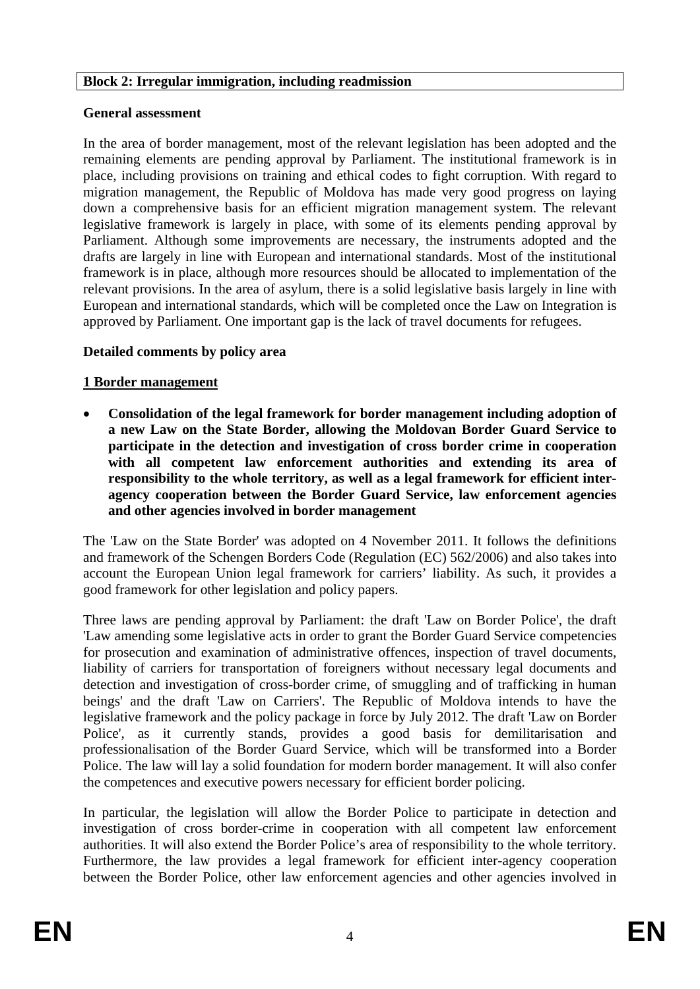#### **General assessment**

In the area of border management, most of the relevant legislation has been adopted and the remaining elements are pending approval by Parliament. The institutional framework is in place, including provisions on training and ethical codes to fight corruption. With regard to migration management, the Republic of Moldova has made very good progress on laying down a comprehensive basis for an efficient migration management system. The relevant legislative framework is largely in place, with some of its elements pending approval by Parliament. Although some improvements are necessary, the instruments adopted and the drafts are largely in line with European and international standards. Most of the institutional framework is in place, although more resources should be allocated to implementation of the relevant provisions. In the area of asylum, there is a solid legislative basis largely in line with European and international standards, which will be completed once the Law on Integration is approved by Parliament. One important gap is the lack of travel documents for refugees.

## **Detailed comments by policy area**

#### **1 Border management**

• **Consolidation of the legal framework for border management including adoption of a new Law on the State Border, allowing the Moldovan Border Guard Service to participate in the detection and investigation of cross border crime in cooperation with all competent law enforcement authorities and extending its area of responsibility to the whole territory, as well as a legal framework for efficient interagency cooperation between the Border Guard Service, law enforcement agencies and other agencies involved in border management**

The 'Law on the State Border' was adopted on 4 November 2011. It follows the definitions and framework of the Schengen Borders Code (Regulation (EC) 562/2006) and also takes into account the European Union legal framework for carriers' liability. As such, it provides a good framework for other legislation and policy papers.

Three laws are pending approval by Parliament: the draft 'Law on Border Police', the draft 'Law amending some legislative acts in order to grant the Border Guard Service competencies for prosecution and examination of administrative offences, inspection of travel documents, liability of carriers for transportation of foreigners without necessary legal documents and detection and investigation of cross-border crime, of smuggling and of trafficking in human beings' and the draft 'Law on Carriers'. The Republic of Moldova intends to have the legislative framework and the policy package in force by July 2012. The draft 'Law on Border Police', as it currently stands, provides a good basis for demilitarisation and professionalisation of the Border Guard Service, which will be transformed into a Border Police. The law will lay a solid foundation for modern border management. It will also confer the competences and executive powers necessary for efficient border policing.

In particular, the legislation will allow the Border Police to participate in detection and investigation of cross border-crime in cooperation with all competent law enforcement authorities. It will also extend the Border Police's area of responsibility to the whole territory. Furthermore, the law provides a legal framework for efficient inter-agency cooperation between the Border Police, other law enforcement agencies and other agencies involved in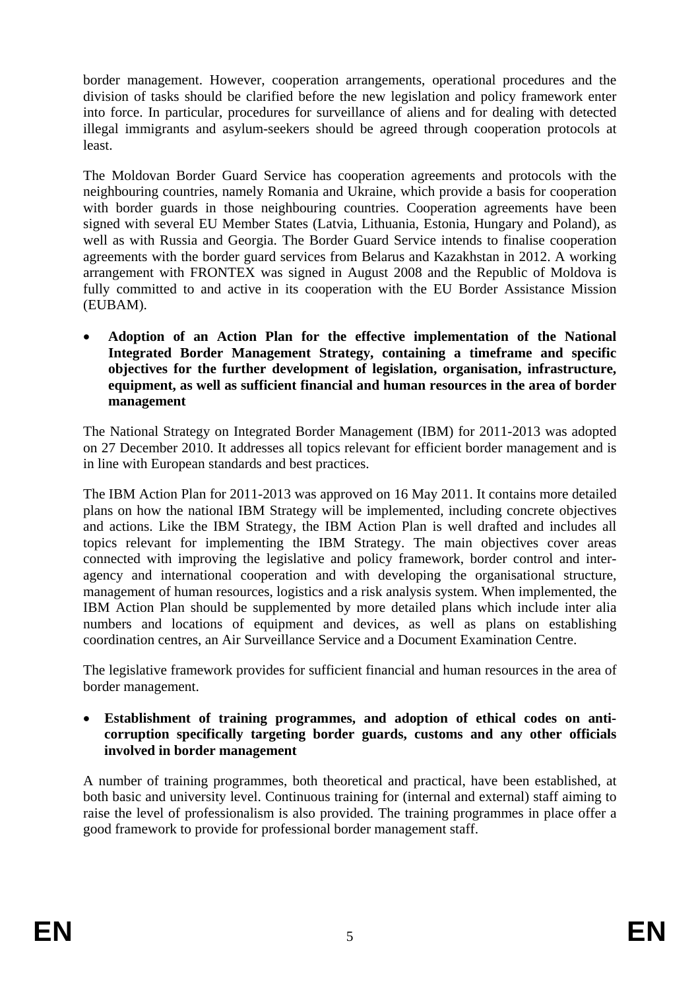border management. However, cooperation arrangements, operational procedures and the division of tasks should be clarified before the new legislation and policy framework enter into force. In particular, procedures for surveillance of aliens and for dealing with detected illegal immigrants and asylum-seekers should be agreed through cooperation protocols at least.

The Moldovan Border Guard Service has cooperation agreements and protocols with the neighbouring countries, namely Romania and Ukraine, which provide a basis for cooperation with border guards in those neighbouring countries. Cooperation agreements have been signed with several EU Member States (Latvia, Lithuania, Estonia, Hungary and Poland), as well as with Russia and Georgia. The Border Guard Service intends to finalise cooperation agreements with the border guard services from Belarus and Kazakhstan in 2012. A working arrangement with FRONTEX was signed in August 2008 and the Republic of Moldova is fully committed to and active in its cooperation with the EU Border Assistance Mission (EUBAM).

• **Adoption of an Action Plan for the effective implementation of the National Integrated Border Management Strategy, containing a timeframe and specific objectives for the further development of legislation, organisation, infrastructure, equipment, as well as sufficient financial and human resources in the area of border management** 

The National Strategy on Integrated Border Management (IBM) for 2011-2013 was adopted on 27 December 2010. It addresses all topics relevant for efficient border management and is in line with European standards and best practices.

The IBM Action Plan for 2011-2013 was approved on 16 May 2011. It contains more detailed plans on how the national IBM Strategy will be implemented, including concrete objectives and actions. Like the IBM Strategy, the IBM Action Plan is well drafted and includes all topics relevant for implementing the IBM Strategy. The main objectives cover areas connected with improving the legislative and policy framework, border control and interagency and international cooperation and with developing the organisational structure, management of human resources, logistics and a risk analysis system. When implemented, the IBM Action Plan should be supplemented by more detailed plans which include inter alia numbers and locations of equipment and devices, as well as plans on establishing coordination centres, an Air Surveillance Service and a Document Examination Centre.

The legislative framework provides for sufficient financial and human resources in the area of border management.

• **Establishment of training programmes, and adoption of ethical codes on anticorruption specifically targeting border guards, customs and any other officials involved in border management** 

A number of training programmes, both theoretical and practical, have been established, at both basic and university level. Continuous training for (internal and external) staff aiming to raise the level of professionalism is also provided. The training programmes in place offer a good framework to provide for professional border management staff.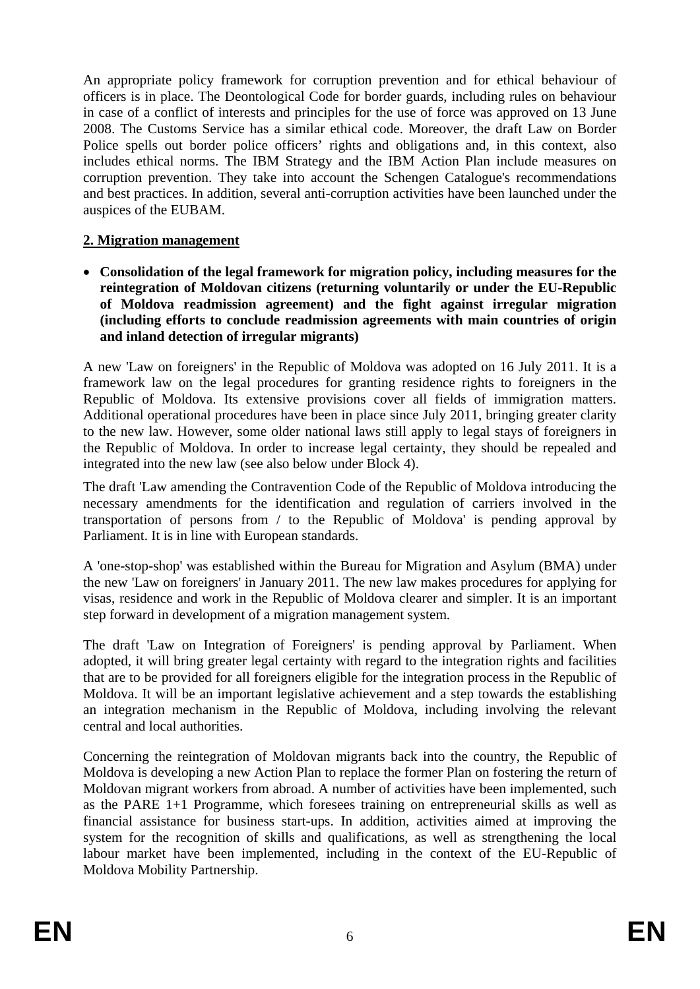An appropriate policy framework for corruption prevention and for ethical behaviour of officers is in place. The Deontological Code for border guards, including rules on behaviour in case of a conflict of interests and principles for the use of force was approved on 13 June 2008. The Customs Service has a similar ethical code. Moreover, the draft Law on Border Police spells out border police officers' rights and obligations and, in this context, also includes ethical norms. The IBM Strategy and the IBM Action Plan include measures on corruption prevention. They take into account the Schengen Catalogue's recommendations and best practices. In addition, several anti-corruption activities have been launched under the auspices of the EUBAM.

## **2. Migration management**

• **Consolidation of the legal framework for migration policy, including measures for the reintegration of Moldovan citizens (returning voluntarily or under the EU-Republic of Moldova readmission agreement) and the fight against irregular migration (including efforts to conclude readmission agreements with main countries of origin and inland detection of irregular migrants)** 

A new 'Law on foreigners' in the Republic of Moldova was adopted on 16 July 2011. It is a framework law on the legal procedures for granting residence rights to foreigners in the Republic of Moldova. Its extensive provisions cover all fields of immigration matters. Additional operational procedures have been in place since July 2011, bringing greater clarity to the new law. However, some older national laws still apply to legal stays of foreigners in the Republic of Moldova. In order to increase legal certainty, they should be repealed and integrated into the new law (see also below under Block 4).

The draft 'Law amending the Contravention Code of the Republic of Moldova introducing the necessary amendments for the identification and regulation of carriers involved in the transportation of persons from / to the Republic of Moldova' is pending approval by Parliament. It is in line with European standards.

A 'one-stop-shop' was established within the Bureau for Migration and Asylum (BMA) under the new 'Law on foreigners' in January 2011. The new law makes procedures for applying for visas, residence and work in the Republic of Moldova clearer and simpler. It is an important step forward in development of a migration management system.

The draft 'Law on Integration of Foreigners' is pending approval by Parliament. When adopted, it will bring greater legal certainty with regard to the integration rights and facilities that are to be provided for all foreigners eligible for the integration process in the Republic of Moldova. It will be an important legislative achievement and a step towards the establishing an integration mechanism in the Republic of Moldova, including involving the relevant central and local authorities.

Concerning the reintegration of Moldovan migrants back into the country, the Republic of Moldova is developing a new Action Plan to replace the former Plan on fostering the return of Moldovan migrant workers from abroad. A number of activities have been implemented, such as the PARE 1+1 Programme, which foresees training on entrepreneurial skills as well as financial assistance for business start-ups. In addition, activities aimed at improving the system for the recognition of skills and qualifications, as well as strengthening the local labour market have been implemented, including in the context of the EU-Republic of Moldova Mobility Partnership.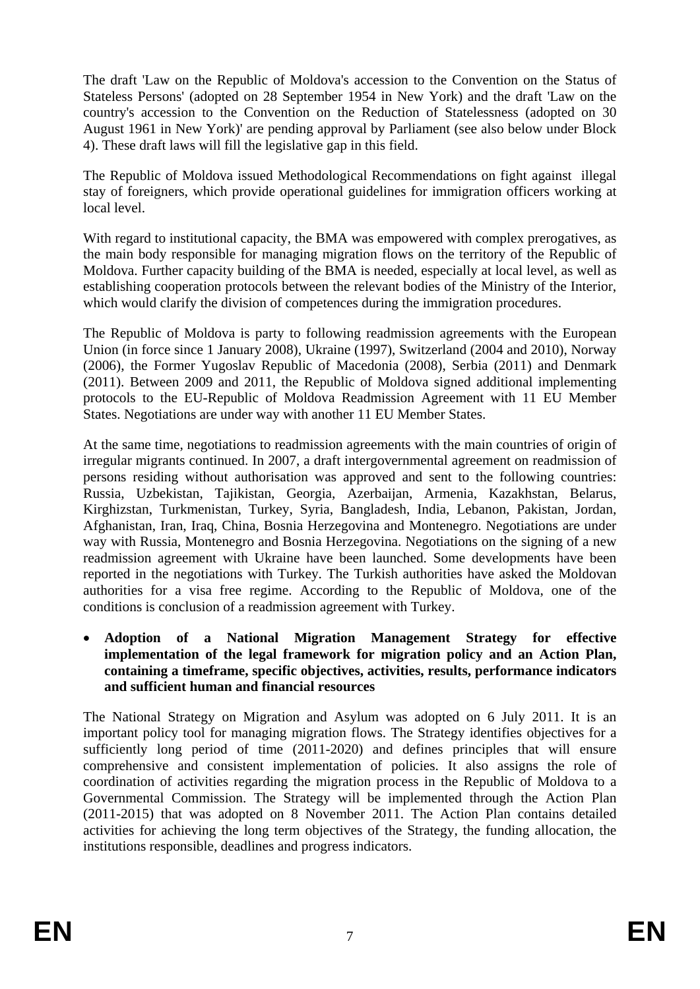The draft 'Law on the Republic of Moldova's accession to the Convention on the Status of Stateless Persons' (adopted on 28 September 1954 in New York) and the draft 'Law on the country's accession to the Convention on the Reduction of Statelessness (adopted on 30 August 1961 in New York)' are pending approval by Parliament (see also below under Block 4). These draft laws will fill the legislative gap in this field.

The Republic of Moldova issued Methodological Recommendations on fight against illegal stay of foreigners, which provide operational guidelines for immigration officers working at local level.

With regard to institutional capacity, the BMA was empowered with complex prerogatives, as the main body responsible for managing migration flows on the territory of the Republic of Moldova. Further capacity building of the BMA is needed, especially at local level, as well as establishing cooperation protocols between the relevant bodies of the Ministry of the Interior, which would clarify the division of competences during the immigration procedures.

The Republic of Moldova is party to following readmission agreements with the European Union (in force since 1 January 2008), Ukraine (1997), Switzerland (2004 and 2010), Norway (2006), the Former Yugoslav Republic of Macedonia (2008), Serbia (2011) and Denmark (2011). Between 2009 and 2011, the Republic of Moldova signed additional implementing protocols to the EU-Republic of Moldova Readmission Agreement with 11 EU Member States. Negotiations are under way with another 11 EU Member States.

At the same time, negotiations to readmission agreements with the main countries of origin of irregular migrants continued. In 2007, a draft intergovernmental agreement on readmission of persons residing without authorisation was approved and sent to the following countries: Russia, Uzbekistan, Tajikistan, Georgia, Azerbaijan, Armenia, Kazakhstan, Belarus, Kirghizstan, Turkmenistan, Turkey, Syria, Bangladesh, India, Lebanon, Pakistan, Jordan, Afghanistan, Iran, Iraq, China, Bosnia Herzegovina and Montenegro. Negotiations are under way with Russia, Montenegro and Bosnia Herzegovina. Negotiations on the signing of a new readmission agreement with Ukraine have been launched. Some developments have been reported in the negotiations with Turkey. The Turkish authorities have asked the Moldovan authorities for a visa free regime. According to the Republic of Moldova, one of the conditions is conclusion of a readmission agreement with Turkey.

• **Adoption of a National Migration Management Strategy for effective implementation of the legal framework for migration policy and an Action Plan, containing a timeframe, specific objectives, activities, results, performance indicators and sufficient human and financial resources** 

The National Strategy on Migration and Asylum was adopted on 6 July 2011. It is an important policy tool for managing migration flows. The Strategy identifies objectives for a sufficiently long period of time (2011-2020) and defines principles that will ensure comprehensive and consistent implementation of policies. It also assigns the role of coordination of activities regarding the migration process in the Republic of Moldova to a Governmental Commission. The Strategy will be implemented through the Action Plan (2011-2015) that was adopted on 8 November 2011. The Action Plan contains detailed activities for achieving the long term objectives of the Strategy, the funding allocation, the institutions responsible, deadlines and progress indicators.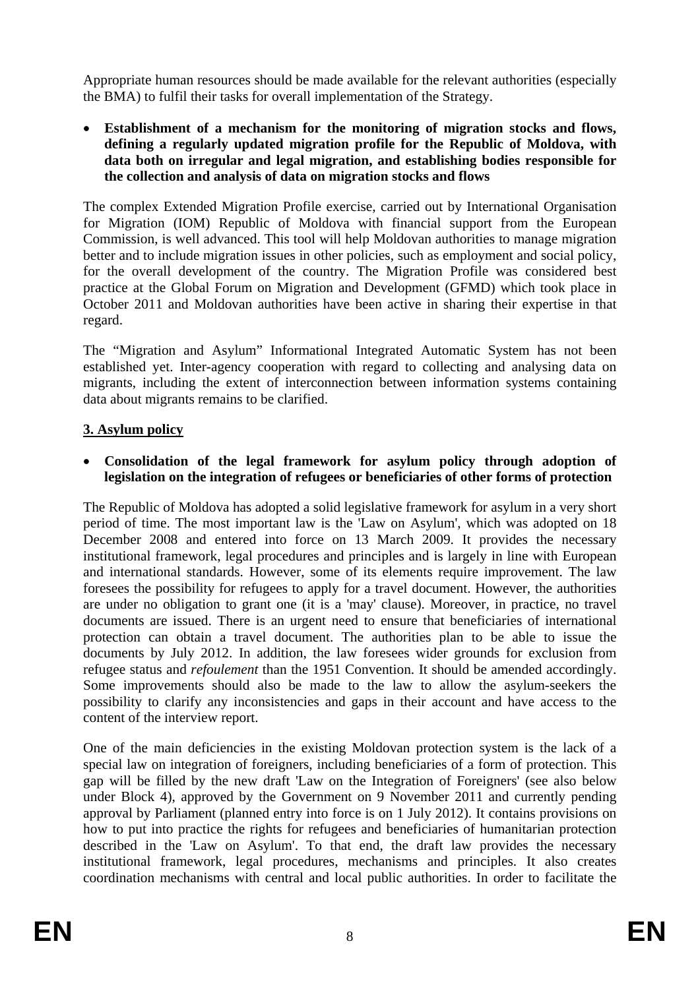Appropriate human resources should be made available for the relevant authorities (especially the BMA) to fulfil their tasks for overall implementation of the Strategy.

• **Establishment of a mechanism for the monitoring of migration stocks and flows, defining a regularly updated migration profile for the Republic of Moldova, with data both on irregular and legal migration, and establishing bodies responsible for the collection and analysis of data on migration stocks and flows** 

The complex Extended Migration Profile exercise, carried out by International Organisation for Migration (IOM) Republic of Moldova with financial support from the European Commission, is well advanced. This tool will help Moldovan authorities to manage migration better and to include migration issues in other policies, such as employment and social policy, for the overall development of the country. The Migration Profile was considered best practice at the Global Forum on Migration and Development (GFMD) which took place in October 2011 and Moldovan authorities have been active in sharing their expertise in that regard.

The "Migration and Asylum" Informational Integrated Automatic System has not been established yet. Inter-agency cooperation with regard to collecting and analysing data on migrants, including the extent of interconnection between information systems containing data about migrants remains to be clarified.

# **3. Asylum policy**

• **Consolidation of the legal framework for asylum policy through adoption of legislation on the integration of refugees or beneficiaries of other forms of protection** 

The Republic of Moldova has adopted a solid legislative framework for asylum in a very short period of time. The most important law is the 'Law on Asylum', which was adopted on 18 December 2008 and entered into force on 13 March 2009. It provides the necessary institutional framework, legal procedures and principles and is largely in line with European and international standards. However, some of its elements require improvement. The law foresees the possibility for refugees to apply for a travel document. However, the authorities are under no obligation to grant one (it is a 'may' clause). Moreover, in practice, no travel documents are issued. There is an urgent need to ensure that beneficiaries of international protection can obtain a travel document. The authorities plan to be able to issue the documents by July 2012. In addition, the law foresees wider grounds for exclusion from refugee status and *refoulement* than the 1951 Convention. It should be amended accordingly. Some improvements should also be made to the law to allow the asylum-seekers the possibility to clarify any inconsistencies and gaps in their account and have access to the content of the interview report.

One of the main deficiencies in the existing Moldovan protection system is the lack of a special law on integration of foreigners, including beneficiaries of a form of protection. This gap will be filled by the new draft 'Law on the Integration of Foreigners' (see also below under Block 4), approved by the Government on 9 November 2011 and currently pending approval by Parliament (planned entry into force is on 1 July 2012). It contains provisions on how to put into practice the rights for refugees and beneficiaries of humanitarian protection described in the 'Law on Asylum'. To that end, the draft law provides the necessary institutional framework, legal procedures, mechanisms and principles. It also creates coordination mechanisms with central and local public authorities. In order to facilitate the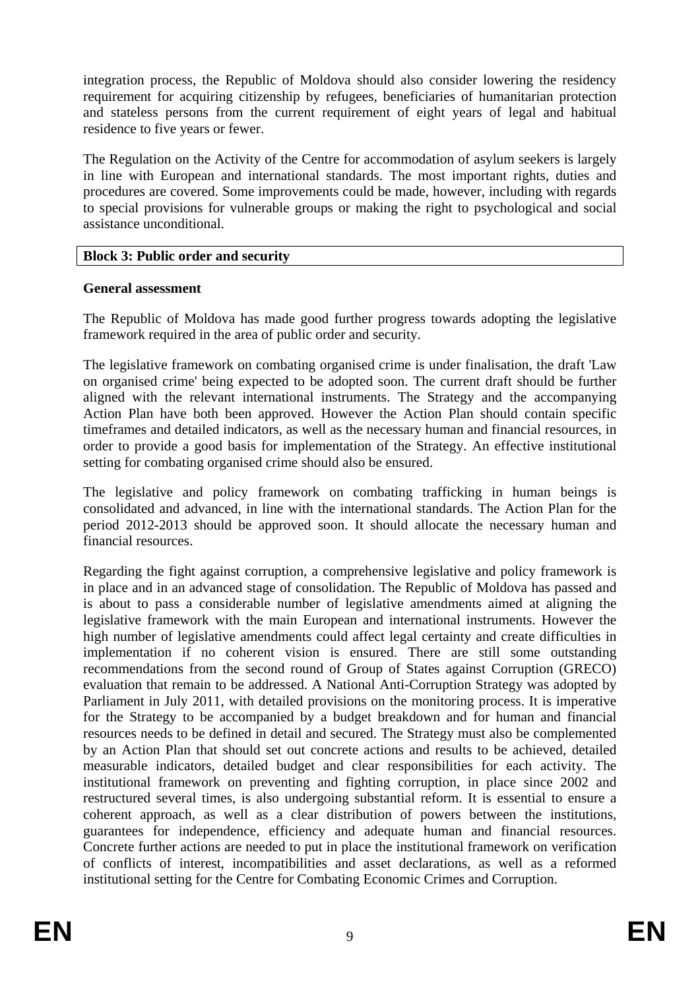integration process, the Republic of Moldova should also consider lowering the residency requirement for acquiring citizenship by refugees, beneficiaries of humanitarian protection and stateless persons from the current requirement of eight years of legal and habitual residence to five years or fewer.

The Regulation on the Activity of the Centre for accommodation of asylum seekers is largely in line with European and international standards. The most important rights, duties and procedures are covered. Some improvements could be made, however, including with regards to special provisions for vulnerable groups or making the right to psychological and social assistance unconditional.

#### **Block 3: Public order and security**

#### **General assessment**

The Republic of Moldova has made good further progress towards adopting the legislative framework required in the area of public order and security.

The legislative framework on combating organised crime is under finalisation, the draft 'Law on organised crime' being expected to be adopted soon. The current draft should be further aligned with the relevant international instruments. The Strategy and the accompanying Action Plan have both been approved. However the Action Plan should contain specific timeframes and detailed indicators, as well as the necessary human and financial resources, in order to provide a good basis for implementation of the Strategy. An effective institutional setting for combating organised crime should also be ensured.

The legislative and policy framework on combating trafficking in human beings is consolidated and advanced, in line with the international standards. The Action Plan for the period 2012-2013 should be approved soon. It should allocate the necessary human and financial resources.

Regarding the fight against corruption, a comprehensive legislative and policy framework is in place and in an advanced stage of consolidation. The Republic of Moldova has passed and is about to pass a considerable number of legislative amendments aimed at aligning the legislative framework with the main European and international instruments. However the high number of legislative amendments could affect legal certainty and create difficulties in implementation if no coherent vision is ensured. There are still some outstanding recommendations from the second round of Group of States against Corruption (GRECO) evaluation that remain to be addressed. A National Anti-Corruption Strategy was adopted by Parliament in July 2011, with detailed provisions on the monitoring process. It is imperative for the Strategy to be accompanied by a budget breakdown and for human and financial resources needs to be defined in detail and secured. The Strategy must also be complemented by an Action Plan that should set out concrete actions and results to be achieved, detailed measurable indicators, detailed budget and clear responsibilities for each activity. The institutional framework on preventing and fighting corruption, in place since 2002 and restructured several times, is also undergoing substantial reform. It is essential to ensure a coherent approach, as well as a clear distribution of powers between the institutions, guarantees for independence, efficiency and adequate human and financial resources. Concrete further actions are needed to put in place the institutional framework on verification of conflicts of interest, incompatibilities and asset declarations, as well as a reformed institutional setting for the Centre for Combating Economic Crimes and Corruption.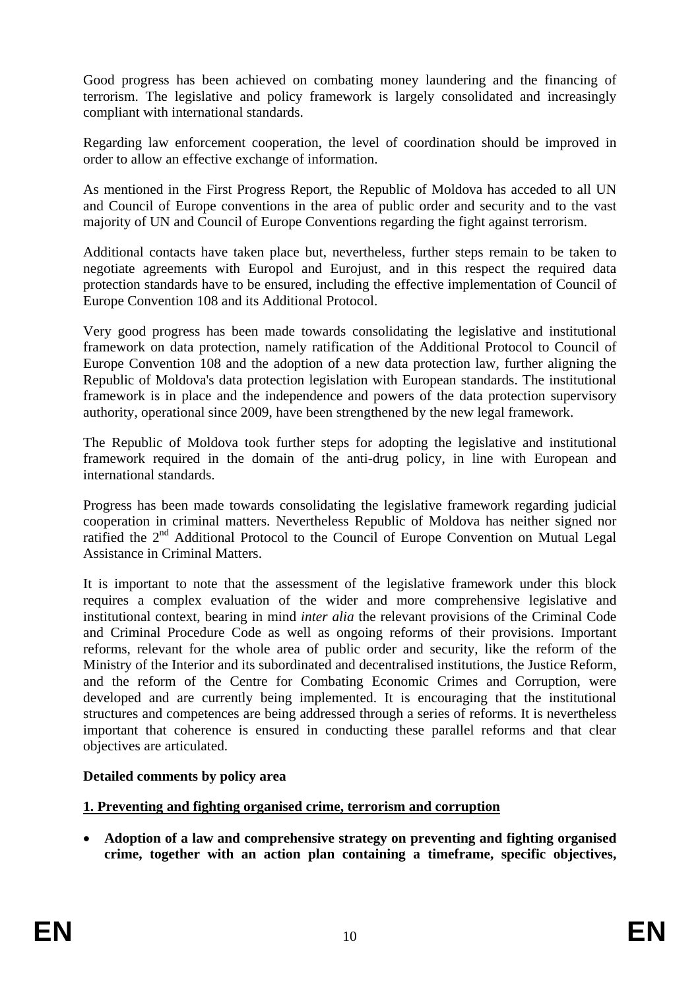Good progress has been achieved on combating money laundering and the financing of terrorism. The legislative and policy framework is largely consolidated and increasingly compliant with international standards.

Regarding law enforcement cooperation, the level of coordination should be improved in order to allow an effective exchange of information.

As mentioned in the First Progress Report, the Republic of Moldova has acceded to all UN and Council of Europe conventions in the area of public order and security and to the vast majority of UN and Council of Europe Conventions regarding the fight against terrorism.

Additional contacts have taken place but, nevertheless, further steps remain to be taken to negotiate agreements with Europol and Eurojust, and in this respect the required data protection standards have to be ensured, including the effective implementation of Council of Europe Convention 108 and its Additional Protocol.

Very good progress has been made towards consolidating the legislative and institutional framework on data protection, namely ratification of the Additional Protocol to Council of Europe Convention 108 and the adoption of a new data protection law, further aligning the Republic of Moldova's data protection legislation with European standards. The institutional framework is in place and the independence and powers of the data protection supervisory authority, operational since 2009, have been strengthened by the new legal framework.

The Republic of Moldova took further steps for adopting the legislative and institutional framework required in the domain of the anti-drug policy, in line with European and international standards.

Progress has been made towards consolidating the legislative framework regarding judicial cooperation in criminal matters. Nevertheless Republic of Moldova has neither signed nor ratified the 2<sup>nd</sup> Additional Protocol to the Council of Europe Convention on Mutual Legal Assistance in Criminal Matters.

It is important to note that the assessment of the legislative framework under this block requires a complex evaluation of the wider and more comprehensive legislative and institutional context, bearing in mind *inter alia* the relevant provisions of the Criminal Code and Criminal Procedure Code as well as ongoing reforms of their provisions. Important reforms, relevant for the whole area of public order and security, like the reform of the Ministry of the Interior and its subordinated and decentralised institutions, the Justice Reform, and the reform of the Centre for Combating Economic Crimes and Corruption, were developed and are currently being implemented. It is encouraging that the institutional structures and competences are being addressed through a series of reforms. It is nevertheless important that coherence is ensured in conducting these parallel reforms and that clear objectives are articulated.

## **Detailed comments by policy area**

## **1. Preventing and fighting organised crime, terrorism and corruption**

• **Adoption of a law and comprehensive strategy on preventing and fighting organised crime, together with an action plan containing a timeframe, specific objectives,**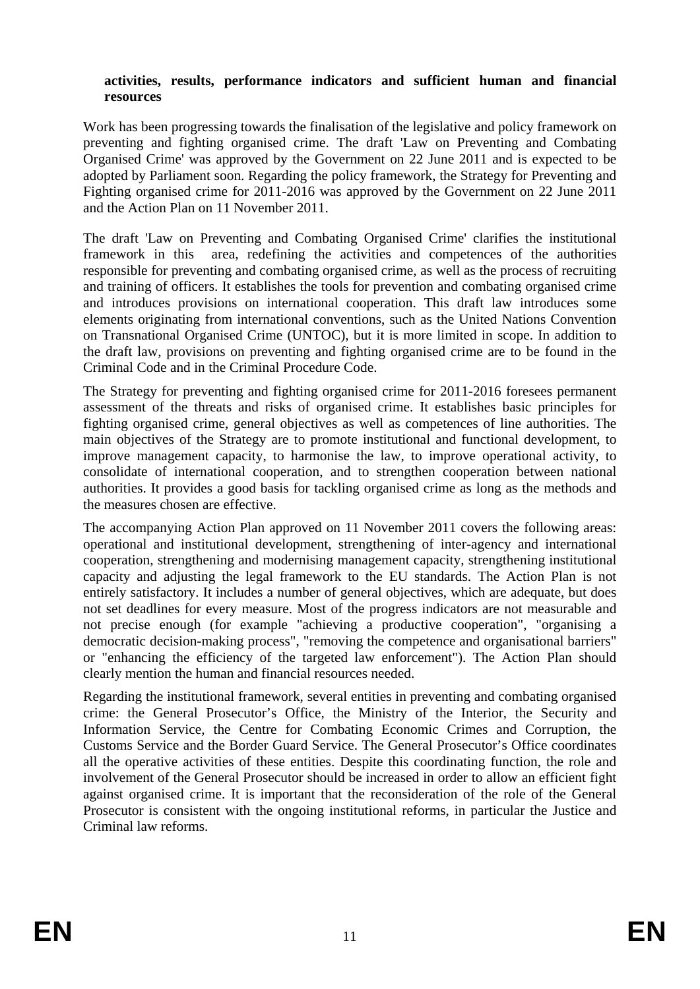#### **activities, results, performance indicators and sufficient human and financial resources**

Work has been progressing towards the finalisation of the legislative and policy framework on preventing and fighting organised crime. The draft 'Law on Preventing and Combating Organised Crime' was approved by the Government on 22 June 2011 and is expected to be adopted by Parliament soon. Regarding the policy framework, the Strategy for Preventing and Fighting organised crime for 2011-2016 was approved by the Government on 22 June 2011 and the Action Plan on 11 November 2011.

The draft 'Law on Preventing and Combating Organised Crime' clarifies the institutional framework in this area, redefining the activities and competences of the authorities responsible for preventing and combating organised crime, as well as the process of recruiting and training of officers. It establishes the tools for prevention and combating organised crime and introduces provisions on international cooperation. This draft law introduces some elements originating from international conventions, such as the United Nations Convention on Transnational Organised Crime (UNTOC), but it is more limited in scope. In addition to the draft law, provisions on preventing and fighting organised crime are to be found in the Criminal Code and in the Criminal Procedure Code.

The Strategy for preventing and fighting organised crime for 2011-2016 foresees permanent assessment of the threats and risks of organised crime. It establishes basic principles for fighting organised crime, general objectives as well as competences of line authorities. The main objectives of the Strategy are to promote institutional and functional development, to improve management capacity, to harmonise the law, to improve operational activity, to consolidate of international cooperation, and to strengthen cooperation between national authorities. It provides a good basis for tackling organised crime as long as the methods and the measures chosen are effective.

The accompanying Action Plan approved on 11 November 2011 covers the following areas: operational and institutional development, strengthening of inter-agency and international cooperation, strengthening and modernising management capacity, strengthening institutional capacity and adjusting the legal framework to the EU standards. The Action Plan is not entirely satisfactory. It includes a number of general objectives, which are adequate, but does not set deadlines for every measure. Most of the progress indicators are not measurable and not precise enough (for example "achieving a productive cooperation", "organising a democratic decision-making process", "removing the competence and organisational barriers" or "enhancing the efficiency of the targeted law enforcement"). The Action Plan should clearly mention the human and financial resources needed.

Regarding the institutional framework, several entities in preventing and combating organised crime: the General Prosecutor's Office, the Ministry of the Interior, the Security and Information Service, the Centre for Combating Economic Crimes and Corruption, the Customs Service and the Border Guard Service. The General Prosecutor's Office coordinates all the operative activities of these entities. Despite this coordinating function, the role and involvement of the General Prosecutor should be increased in order to allow an efficient fight against organised crime. It is important that the reconsideration of the role of the General Prosecutor is consistent with the ongoing institutional reforms, in particular the Justice and Criminal law reforms.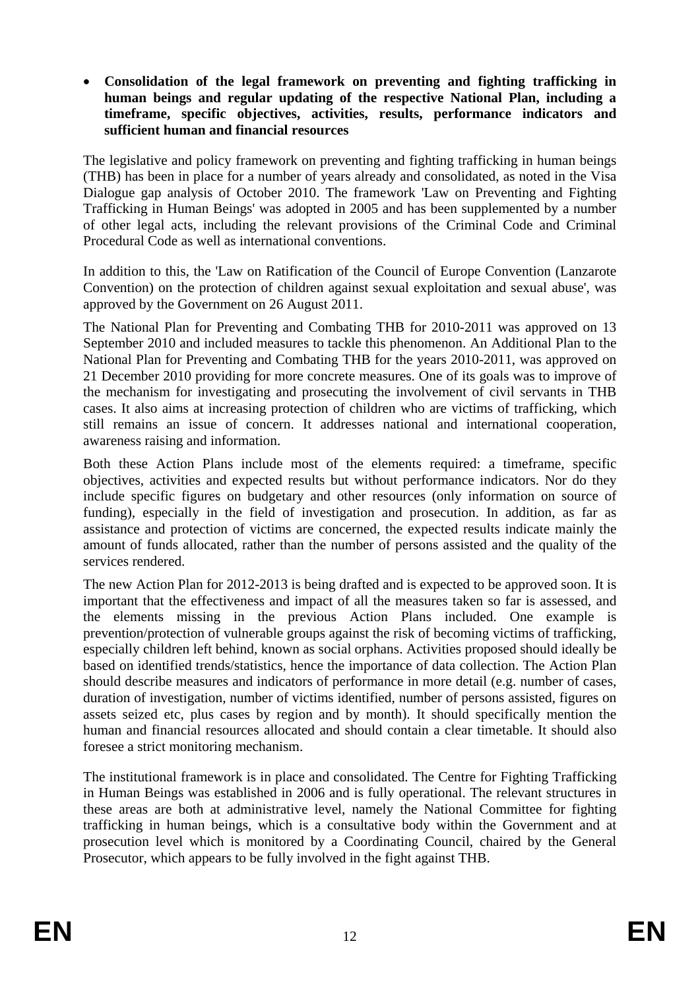• **Consolidation of the legal framework on preventing and fighting trafficking in human beings and regular updating of the respective National Plan, including a timeframe, specific objectives, activities, results, performance indicators and sufficient human and financial resources** 

The legislative and policy framework on preventing and fighting trafficking in human beings (THB) has been in place for a number of years already and consolidated, as noted in the Visa Dialogue gap analysis of October 2010. The framework 'Law on Preventing and Fighting Trafficking in Human Beings' was adopted in 2005 and has been supplemented by a number of other legal acts, including the relevant provisions of the Criminal Code and Criminal Procedural Code as well as international conventions.

In addition to this, the 'Law on Ratification of the Council of Europe Convention (Lanzarote Convention) on the protection of children against sexual exploitation and sexual abuse', was approved by the Government on 26 August 2011.

The National Plan for Preventing and Combating THB for 2010-2011 was approved on 13 September 2010 and included measures to tackle this phenomenon. An Additional Plan to the National Plan for Preventing and Combating THB for the years 2010-2011, was approved on 21 December 2010 providing for more concrete measures. One of its goals was to improve of the mechanism for investigating and prosecuting the involvement of civil servants in THB cases. It also aims at increasing protection of children who are victims of trafficking, which still remains an issue of concern. It addresses national and international cooperation, awareness raising and information.

Both these Action Plans include most of the elements required: a timeframe, specific objectives, activities and expected results but without performance indicators. Nor do they include specific figures on budgetary and other resources (only information on source of funding), especially in the field of investigation and prosecution. In addition, as far as assistance and protection of victims are concerned, the expected results indicate mainly the amount of funds allocated, rather than the number of persons assisted and the quality of the services rendered.

The new Action Plan for 2012-2013 is being drafted and is expected to be approved soon. It is important that the effectiveness and impact of all the measures taken so far is assessed, and the elements missing in the previous Action Plans included. One example is prevention/protection of vulnerable groups against the risk of becoming victims of trafficking, especially children left behind, known as social orphans. Activities proposed should ideally be based on identified trends/statistics, hence the importance of data collection. The Action Plan should describe measures and indicators of performance in more detail (e.g. number of cases, duration of investigation, number of victims identified, number of persons assisted, figures on assets seized etc, plus cases by region and by month). It should specifically mention the human and financial resources allocated and should contain a clear timetable. It should also foresee a strict monitoring mechanism.

The institutional framework is in place and consolidated. The Centre for Fighting Trafficking in Human Beings was established in 2006 and is fully operational. The relevant structures in these areas are both at administrative level, namely the National Committee for fighting trafficking in human beings, which is a consultative body within the Government and at prosecution level which is monitored by a Coordinating Council, chaired by the General Prosecutor, which appears to be fully involved in the fight against THB.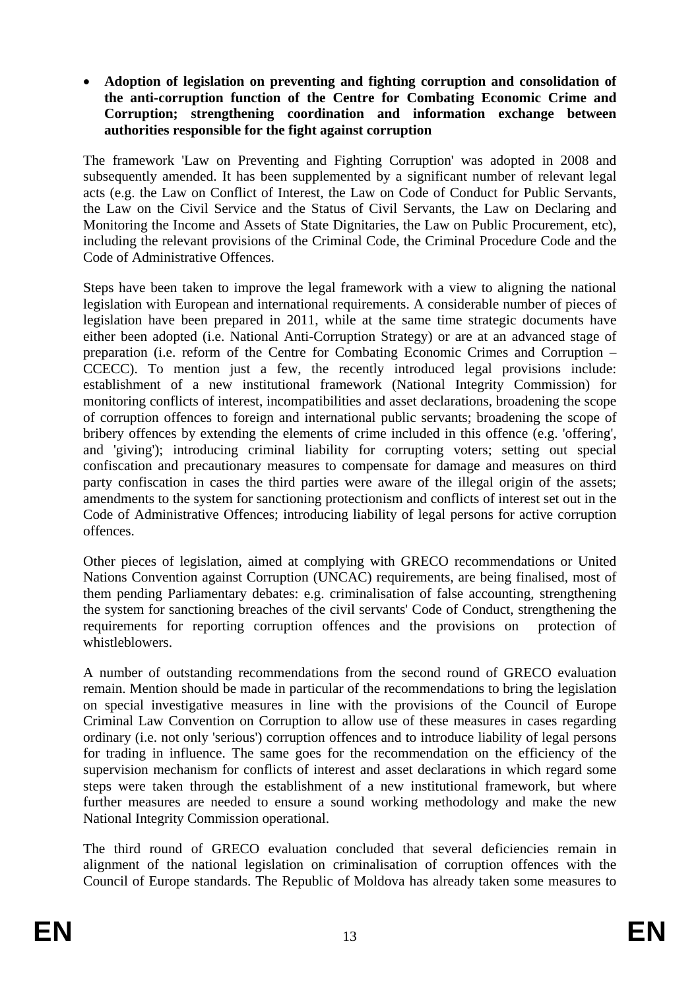#### • **Adoption of legislation on preventing and fighting corruption and consolidation of the anti-corruption function of the Centre for Combating Economic Crime and Corruption; strengthening coordination and information exchange between authorities responsible for the fight against corruption**

The framework 'Law on Preventing and Fighting Corruption' was adopted in 2008 and subsequently amended. It has been supplemented by a significant number of relevant legal acts (e.g. the Law on Conflict of Interest, the Law on Code of Conduct for Public Servants, the Law on the Civil Service and the Status of Civil Servants, the Law on Declaring and Monitoring the Income and Assets of State Dignitaries, the Law on Public Procurement, etc), including the relevant provisions of the Criminal Code, the Criminal Procedure Code and the Code of Administrative Offences.

Steps have been taken to improve the legal framework with a view to aligning the national legislation with European and international requirements. A considerable number of pieces of legislation have been prepared in 2011, while at the same time strategic documents have either been adopted (i.e. National Anti-Corruption Strategy) or are at an advanced stage of preparation (i.e. reform of the Centre for Combating Economic Crimes and Corruption – CCECC). To mention just a few, the recently introduced legal provisions include: establishment of a new institutional framework (National Integrity Commission) for monitoring conflicts of interest, incompatibilities and asset declarations, broadening the scope of corruption offences to foreign and international public servants; broadening the scope of bribery offences by extending the elements of crime included in this offence (e.g. 'offering', and 'giving'); introducing criminal liability for corrupting voters; setting out special confiscation and precautionary measures to compensate for damage and measures on third party confiscation in cases the third parties were aware of the illegal origin of the assets; amendments to the system for sanctioning protectionism and conflicts of interest set out in the Code of Administrative Offences; introducing liability of legal persons for active corruption offences.

Other pieces of legislation, aimed at complying with GRECO recommendations or United Nations Convention against Corruption (UNCAC) requirements, are being finalised, most of them pending Parliamentary debates: e.g. criminalisation of false accounting, strengthening the system for sanctioning breaches of the civil servants' Code of Conduct, strengthening the requirements for reporting corruption offences and the provisions on protection of whistleblowers.

A number of outstanding recommendations from the second round of GRECO evaluation remain. Mention should be made in particular of the recommendations to bring the legislation on special investigative measures in line with the provisions of the Council of Europe Criminal Law Convention on Corruption to allow use of these measures in cases regarding ordinary (i.e. not only 'serious') corruption offences and to introduce liability of legal persons for trading in influence. The same goes for the recommendation on the efficiency of the supervision mechanism for conflicts of interest and asset declarations in which regard some steps were taken through the establishment of a new institutional framework, but where further measures are needed to ensure a sound working methodology and make the new National Integrity Commission operational.

The third round of GRECO evaluation concluded that several deficiencies remain in alignment of the national legislation on criminalisation of corruption offences with the Council of Europe standards. The Republic of Moldova has already taken some measures to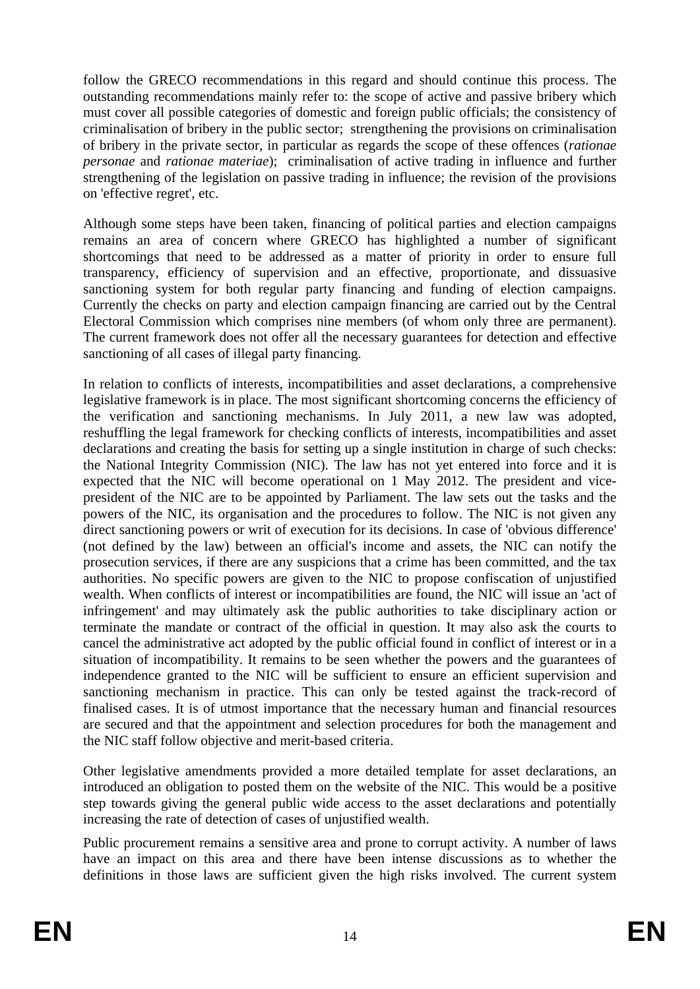follow the GRECO recommendations in this regard and should continue this process. The outstanding recommendations mainly refer to: the scope of active and passive bribery which must cover all possible categories of domestic and foreign public officials; the consistency of criminalisation of bribery in the public sector; strengthening the provisions on criminalisation of bribery in the private sector, in particular as regards the scope of these offences (*rationae personae* and *rationae materiae*); criminalisation of active trading in influence and further strengthening of the legislation on passive trading in influence; the revision of the provisions on 'effective regret', etc.

Although some steps have been taken, financing of political parties and election campaigns remains an area of concern where GRECO has highlighted a number of significant shortcomings that need to be addressed as a matter of priority in order to ensure full transparency, efficiency of supervision and an effective, proportionate, and dissuasive sanctioning system for both regular party financing and funding of election campaigns. Currently the checks on party and election campaign financing are carried out by the Central Electoral Commission which comprises nine members (of whom only three are permanent). The current framework does not offer all the necessary guarantees for detection and effective sanctioning of all cases of illegal party financing.

In relation to conflicts of interests, incompatibilities and asset declarations, a comprehensive legislative framework is in place. The most significant shortcoming concerns the efficiency of the verification and sanctioning mechanisms. In July 2011, a new law was adopted, reshuffling the legal framework for checking conflicts of interests, incompatibilities and asset declarations and creating the basis for setting up a single institution in charge of such checks: the National Integrity Commission (NIC). The law has not yet entered into force and it is expected that the NIC will become operational on 1 May 2012. The president and vicepresident of the NIC are to be appointed by Parliament. The law sets out the tasks and the powers of the NIC, its organisation and the procedures to follow. The NIC is not given any direct sanctioning powers or writ of execution for its decisions. In case of 'obvious difference' (not defined by the law) between an official's income and assets, the NIC can notify the prosecution services, if there are any suspicions that a crime has been committed, and the tax authorities. No specific powers are given to the NIC to propose confiscation of unjustified wealth. When conflicts of interest or incompatibilities are found, the NIC will issue an 'act of infringement' and may ultimately ask the public authorities to take disciplinary action or terminate the mandate or contract of the official in question. It may also ask the courts to cancel the administrative act adopted by the public official found in conflict of interest or in a situation of incompatibility. It remains to be seen whether the powers and the guarantees of independence granted to the NIC will be sufficient to ensure an efficient supervision and sanctioning mechanism in practice. This can only be tested against the track-record of finalised cases. It is of utmost importance that the necessary human and financial resources are secured and that the appointment and selection procedures for both the management and the NIC staff follow objective and merit-based criteria.

Other legislative amendments provided a more detailed template for asset declarations, an introduced an obligation to posted them on the website of the NIC. This would be a positive step towards giving the general public wide access to the asset declarations and potentially increasing the rate of detection of cases of unjustified wealth.

Public procurement remains a sensitive area and prone to corrupt activity. A number of laws have an impact on this area and there have been intense discussions as to whether the definitions in those laws are sufficient given the high risks involved. The current system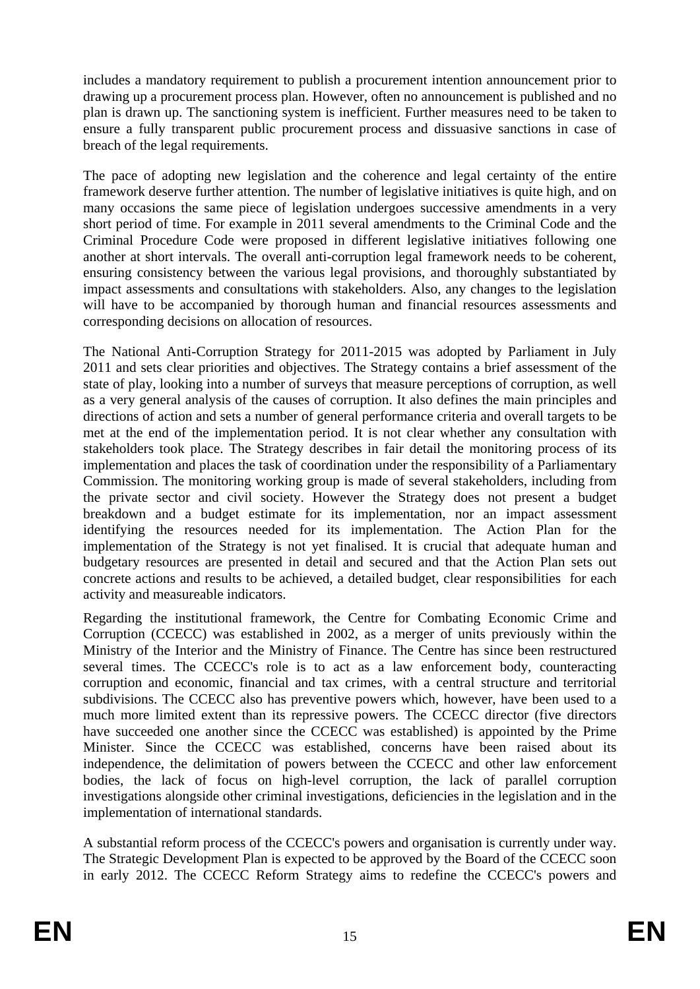includes a mandatory requirement to publish a procurement intention announcement prior to drawing up a procurement process plan. However, often no announcement is published and no plan is drawn up. The sanctioning system is inefficient. Further measures need to be taken to ensure a fully transparent public procurement process and dissuasive sanctions in case of breach of the legal requirements.

The pace of adopting new legislation and the coherence and legal certainty of the entire framework deserve further attention. The number of legislative initiatives is quite high, and on many occasions the same piece of legislation undergoes successive amendments in a very short period of time. For example in 2011 several amendments to the Criminal Code and the Criminal Procedure Code were proposed in different legislative initiatives following one another at short intervals. The overall anti-corruption legal framework needs to be coherent, ensuring consistency between the various legal provisions, and thoroughly substantiated by impact assessments and consultations with stakeholders. Also, any changes to the legislation will have to be accompanied by thorough human and financial resources assessments and corresponding decisions on allocation of resources.

The National Anti-Corruption Strategy for 2011-2015 was adopted by Parliament in July 2011 and sets clear priorities and objectives. The Strategy contains a brief assessment of the state of play, looking into a number of surveys that measure perceptions of corruption, as well as a very general analysis of the causes of corruption. It also defines the main principles and directions of action and sets a number of general performance criteria and overall targets to be met at the end of the implementation period. It is not clear whether any consultation with stakeholders took place. The Strategy describes in fair detail the monitoring process of its implementation and places the task of coordination under the responsibility of a Parliamentary Commission. The monitoring working group is made of several stakeholders, including from the private sector and civil society. However the Strategy does not present a budget breakdown and a budget estimate for its implementation, nor an impact assessment identifying the resources needed for its implementation. The Action Plan for the implementation of the Strategy is not yet finalised. It is crucial that adequate human and budgetary resources are presented in detail and secured and that the Action Plan sets out concrete actions and results to be achieved, a detailed budget, clear responsibilities for each activity and measureable indicators.

Regarding the institutional framework, the Centre for Combating Economic Crime and Corruption (CCECC) was established in 2002, as a merger of units previously within the Ministry of the Interior and the Ministry of Finance. The Centre has since been restructured several times. The CCECC's role is to act as a law enforcement body, counteracting corruption and economic, financial and tax crimes, with a central structure and territorial subdivisions. The CCECC also has preventive powers which, however, have been used to a much more limited extent than its repressive powers. The CCECC director (five directors have succeeded one another since the CCECC was established) is appointed by the Prime Minister. Since the CCECC was established, concerns have been raised about its independence, the delimitation of powers between the CCECC and other law enforcement bodies, the lack of focus on high-level corruption, the lack of parallel corruption investigations alongside other criminal investigations, deficiencies in the legislation and in the implementation of international standards.

A substantial reform process of the CCECC's powers and organisation is currently under way. The Strategic Development Plan is expected to be approved by the Board of the CCECC soon in early 2012. The CCECC Reform Strategy aims to redefine the CCECC's powers and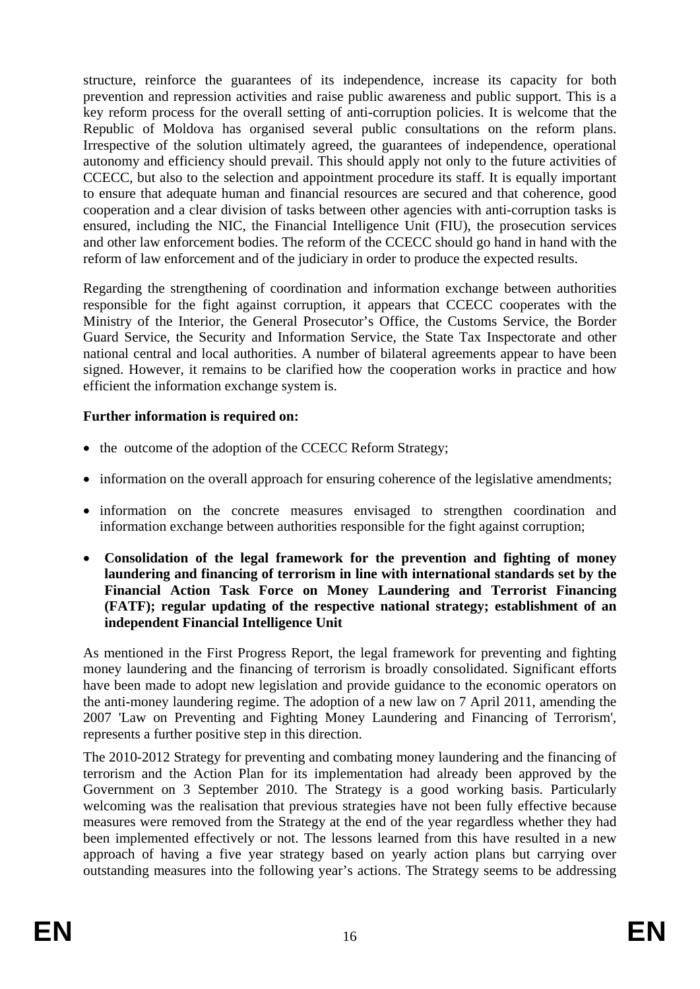structure, reinforce the guarantees of its independence, increase its capacity for both prevention and repression activities and raise public awareness and public support. This is a key reform process for the overall setting of anti-corruption policies. It is welcome that the Republic of Moldova has organised several public consultations on the reform plans. Irrespective of the solution ultimately agreed, the guarantees of independence, operational autonomy and efficiency should prevail. This should apply not only to the future activities of CCECC, but also to the selection and appointment procedure its staff. It is equally important to ensure that adequate human and financial resources are secured and that coherence, good cooperation and a clear division of tasks between other agencies with anti-corruption tasks is ensured, including the NIC, the Financial Intelligence Unit (FIU), the prosecution services and other law enforcement bodies. The reform of the CCECC should go hand in hand with the reform of law enforcement and of the judiciary in order to produce the expected results.

Regarding the strengthening of coordination and information exchange between authorities responsible for the fight against corruption, it appears that CCECC cooperates with the Ministry of the Interior, the General Prosecutor's Office, the Customs Service, the Border Guard Service, the Security and Information Service, the State Tax Inspectorate and other national central and local authorities. A number of bilateral agreements appear to have been signed. However, it remains to be clarified how the cooperation works in practice and how efficient the information exchange system is.

## **Further information is required on:**

- the outcome of the adoption of the CCECC Reform Strategy;
- information on the overall approach for ensuring coherence of the legislative amendments;
- information on the concrete measures envisaged to strengthen coordination and information exchange between authorities responsible for the fight against corruption;
- **Consolidation of the legal framework for the prevention and fighting of money laundering and financing of terrorism in line with international standards set by the Financial Action Task Force on Money Laundering and Terrorist Financing (FATF); regular updating of the respective national strategy; establishment of an independent Financial Intelligence Unit**

As mentioned in the First Progress Report, the legal framework for preventing and fighting money laundering and the financing of terrorism is broadly consolidated. Significant efforts have been made to adopt new legislation and provide guidance to the economic operators on the anti-money laundering regime. The adoption of a new law on 7 April 2011, amending the 2007 'Law on Preventing and Fighting Money Laundering and Financing of Terrorism', represents a further positive step in this direction.

The 2010-2012 Strategy for preventing and combating money laundering and the financing of terrorism and the Action Plan for its implementation had already been approved by the Government on 3 September 2010. The Strategy is a good working basis. Particularly welcoming was the realisation that previous strategies have not been fully effective because measures were removed from the Strategy at the end of the year regardless whether they had been implemented effectively or not. The lessons learned from this have resulted in a new approach of having a five year strategy based on yearly action plans but carrying over outstanding measures into the following year's actions. The Strategy seems to be addressing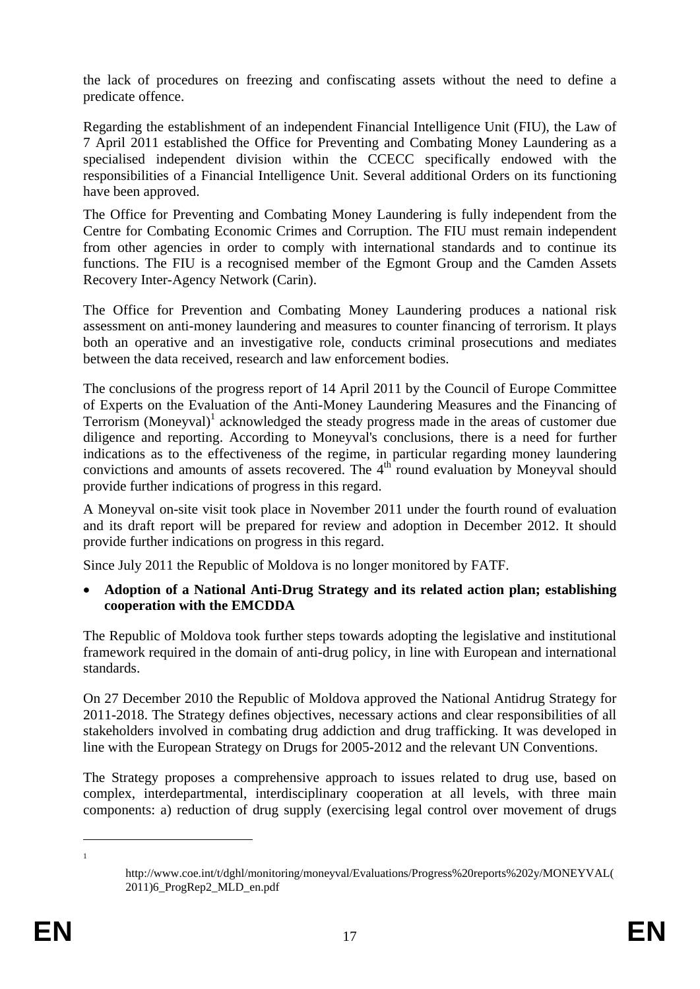the lack of procedures on freezing and confiscating assets without the need to define a predicate offence.

Regarding the establishment of an independent Financial Intelligence Unit (FIU), the Law of 7 April 2011 established the Office for Preventing and Combating Money Laundering as a specialised independent division within the CCECC specifically endowed with the responsibilities of a Financial Intelligence Unit. Several additional Orders on its functioning have been approved.

The Office for Preventing and Combating Money Laundering is fully independent from the Centre for Combating Economic Crimes and Corruption. The FIU must remain independent from other agencies in order to comply with international standards and to continue its functions. The FIU is a recognised member of the Egmont Group and the Camden Assets Recovery Inter-Agency Network (Carin).

The Office for Prevention and Combating Money Laundering produces a national risk assessment on anti-money laundering and measures to counter financing of terrorism. It plays both an operative and an investigative role, conducts criminal prosecutions and mediates between the data received, research and law enforcement bodies.

The conclusions of the progress report of 14 April 2011 by the Council of Europe Committee of Experts on the Evaluation of the Anti-Money Laundering Measures and the Financing of Terrorism (Moneyval)<sup>1</sup> acknowledged the steady progress made in the areas of customer due diligence and reporting. According to Moneyval's conclusions, there is a need for further indications as to the effectiveness of the regime, in particular regarding money laundering convictions and amounts of assets recovered. The  $4<sup>th</sup>$  round evaluation by Moneyval should provide further indications of progress in this regard.

A Moneyval on-site visit took place in November 2011 under the fourth round of evaluation and its draft report will be prepared for review and adoption in December 2012. It should provide further indications on progress in this regard.

Since July 2011 the Republic of Moldova is no longer monitored by FATF.

#### • **Adoption of a National Anti-Drug Strategy and its related action plan; establishing cooperation with the EMCDDA**

The Republic of Moldova took further steps towards adopting the legislative and institutional framework required in the domain of anti-drug policy, in line with European and international standards.

On 27 December 2010 the Republic of Moldova approved the National Antidrug Strategy for 2011-2018. The Strategy defines objectives, necessary actions and clear responsibilities of all stakeholders involved in combating drug addiction and drug trafficking. It was developed in line with the European Strategy on Drugs for 2005-2012 and the relevant UN Conventions.

The Strategy proposes a comprehensive approach to issues related to drug use, based on complex, interdepartmental, interdisciplinary cooperation at all levels, with three main components: a) reduction of drug supply (exercising legal control over movement of drugs

1 1

http://www.coe.int/t/dghl/monitoring/moneyval/Evaluations/Progress%20reports%202y/MONEYVAL( 2011)6\_ProgRep2\_MLD\_en.pdf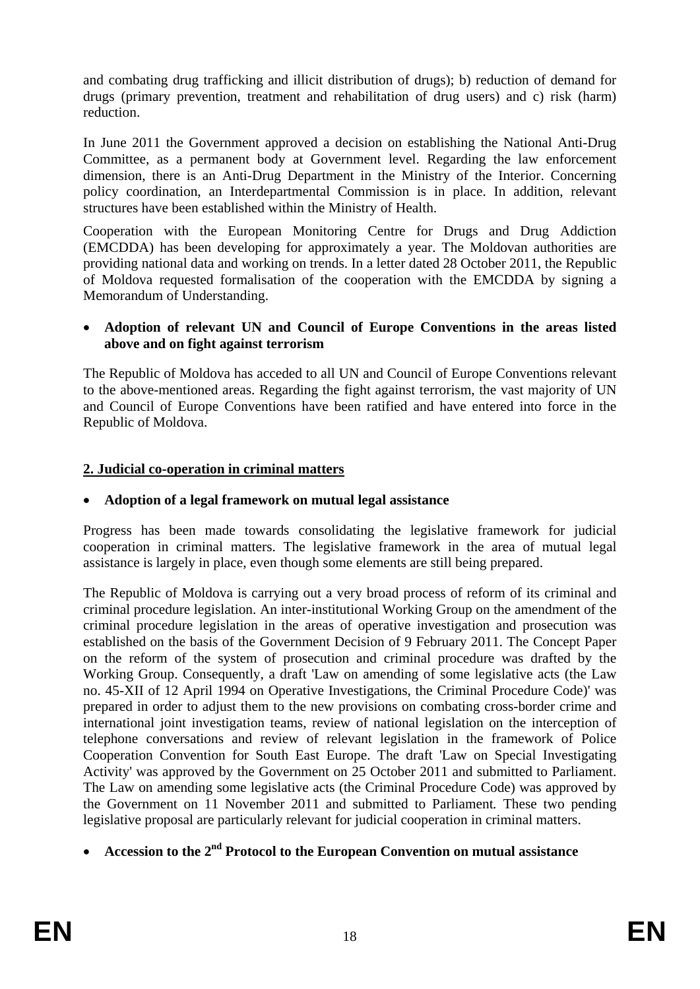and combating drug trafficking and illicit distribution of drugs); b) reduction of demand for drugs (primary prevention, treatment and rehabilitation of drug users) and c) risk (harm) reduction.

In June 2011 the Government approved a decision on establishing the National Anti-Drug Committee, as a permanent body at Government level. Regarding the law enforcement dimension, there is an Anti-Drug Department in the Ministry of the Interior. Concerning policy coordination, an Interdepartmental Commission is in place. In addition, relevant structures have been established within the Ministry of Health.

Cooperation with the European Monitoring Centre for Drugs and Drug Addiction (EMCDDA) has been developing for approximately a year. The Moldovan authorities are providing national data and working on trends. In a letter dated 28 October 2011, the Republic of Moldova requested formalisation of the cooperation with the EMCDDA by signing a Memorandum of Understanding.

#### • **Adoption of relevant UN and Council of Europe Conventions in the areas listed above and on fight against terrorism**

The Republic of Moldova has acceded to all UN and Council of Europe Conventions relevant to the above-mentioned areas. Regarding the fight against terrorism, the vast majority of UN and Council of Europe Conventions have been ratified and have entered into force in the Republic of Moldova.

## **2. Judicial co-operation in criminal matters**

## • **Adoption of a legal framework on mutual legal assistance**

Progress has been made towards consolidating the legislative framework for judicial cooperation in criminal matters. The legislative framework in the area of mutual legal assistance is largely in place, even though some elements are still being prepared.

The Republic of Moldova is carrying out a very broad process of reform of its criminal and criminal procedure legislation. An inter-institutional Working Group on the amendment of the criminal procedure legislation in the areas of operative investigation and prosecution was established on the basis of the Government Decision of 9 February 2011. The Concept Paper on the reform of the system of prosecution and criminal procedure was drafted by the Working Group. Consequently, a draft 'Law on amending of some legislative acts (the Law no. 45-XII of 12 April 1994 on Operative Investigations, the Criminal Procedure Code)' was prepared in order to adjust them to the new provisions on combating cross-border crime and international joint investigation teams, review of national legislation on the interception of telephone conversations and review of relevant legislation in the framework of Police Cooperation Convention for South East Europe. The draft 'Law on Special Investigating Activity' was approved by the Government on 25 October 2011 and submitted to Parliament. The Law on amending some legislative acts (the Criminal Procedure Code) was approved by the Government on 11 November 2011 and submitted to Parliament*.* These two pending legislative proposal are particularly relevant for judicial cooperation in criminal matters.

# • **Accession to the 2nd Protocol to the European Convention on mutual assistance**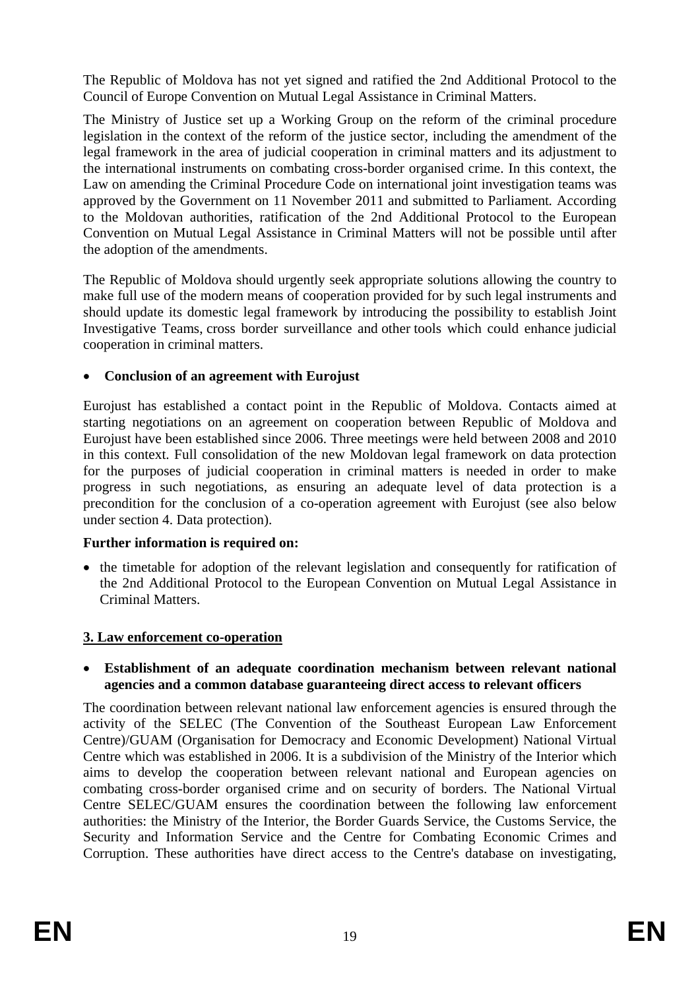The Republic of Moldova has not yet signed and ratified the 2nd Additional Protocol to the Council of Europe Convention on Mutual Legal Assistance in Criminal Matters.

The Ministry of Justice set up a Working Group on the reform of the criminal procedure legislation in the context of the reform of the justice sector, including the amendment of the legal framework in the area of judicial cooperation in criminal matters and its adjustment to the international instruments on combating cross-border organised crime. In this context, the Law on amending the Criminal Procedure Code on international joint investigation teams was approved by the Government on 11 November 2011 and submitted to Parliament*.* According to the Moldovan authorities, ratification of the 2nd Additional Protocol to the European Convention on Mutual Legal Assistance in Criminal Matters will not be possible until after the adoption of the amendments.

The Republic of Moldova should urgently seek appropriate solutions allowing the country to make full use of the modern means of cooperation provided for by such legal instruments and should update its domestic legal framework by introducing the possibility to establish Joint Investigative Teams, cross border surveillance and other tools which could enhance judicial cooperation in criminal matters.

## • **Conclusion of an agreement with Eurojust**

Eurojust has established a contact point in the Republic of Moldova. Contacts aimed at starting negotiations on an agreement on cooperation between Republic of Moldova and Eurojust have been established since 2006. Three meetings were held between 2008 and 2010 in this context. Full consolidation of the new Moldovan legal framework on data protection for the purposes of judicial cooperation in criminal matters is needed in order to make progress in such negotiations, as ensuring an adequate level of data protection is a precondition for the conclusion of a co-operation agreement with Eurojust (see also below under section 4. Data protection).

## **Further information is required on:**

• the timetable for adoption of the relevant legislation and consequently for ratification of the 2nd Additional Protocol to the European Convention on Mutual Legal Assistance in Criminal Matters.

# **3. Law enforcement co-operation**

• **Establishment of an adequate coordination mechanism between relevant national agencies and a common database guaranteeing direct access to relevant officers** 

The coordination between relevant national law enforcement agencies is ensured through the activity of the SELEC (The Convention of the Southeast European Law Enforcement Centre)/GUAM (Organisation for Democracy and Economic Development) National Virtual Centre which was established in 2006. It is a subdivision of the Ministry of the Interior which aims to develop the cooperation between relevant national and European agencies on combating cross-border organised crime and on security of borders. The National Virtual Centre SELEC/GUAM ensures the coordination between the following law enforcement authorities: the Ministry of the Interior, the Border Guards Service, the Customs Service, the Security and Information Service and the Centre for Combating Economic Crimes and Corruption. These authorities have direct access to the Centre's database on investigating,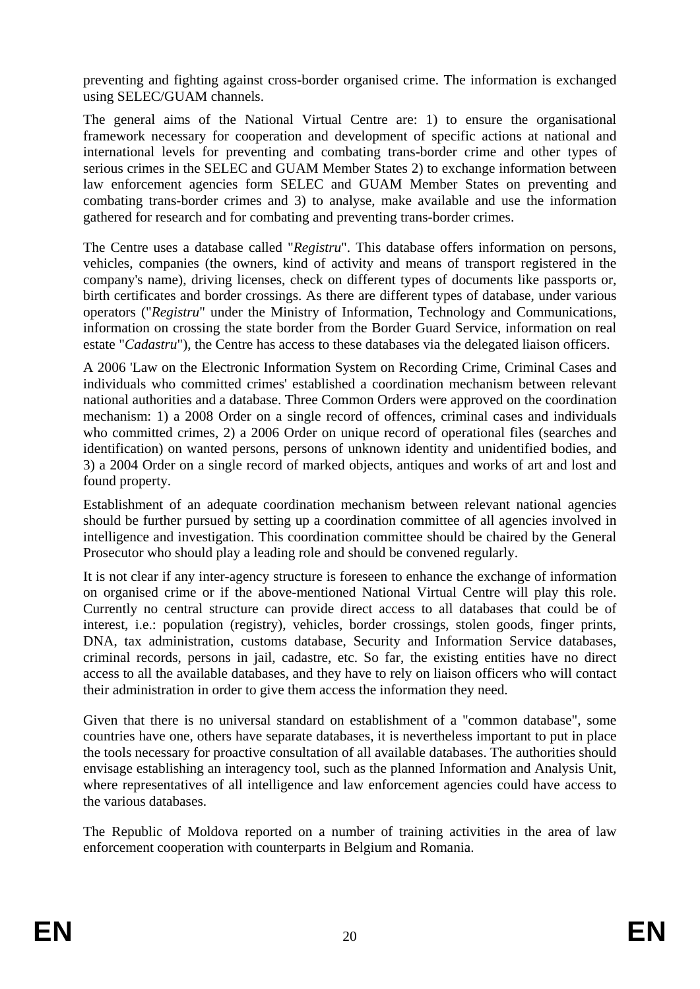preventing and fighting against cross-border organised crime. The information is exchanged using SELEC/GUAM channels.

The general aims of the National Virtual Centre are: 1) to ensure the organisational framework necessary for cooperation and development of specific actions at national and international levels for preventing and combating trans-border crime and other types of serious crimes in the SELEC and GUAM Member States 2) to exchange information between law enforcement agencies form SELEC and GUAM Member States on preventing and combating trans-border crimes and 3) to analyse, make available and use the information gathered for research and for combating and preventing trans-border crimes.

The Centre uses a database called "*Registru*". This database offers information on persons, vehicles, companies (the owners, kind of activity and means of transport registered in the company's name), driving licenses, check on different types of documents like passports or, birth certificates and border crossings. As there are different types of database, under various operators ("*Registru*" under the Ministry of Information, Technology and Communications, information on crossing the state border from the Border Guard Service, information on real estate "*Cadastru*"), the Centre has access to these databases via the delegated liaison officers.

A 2006 'Law on the Electronic Information System on Recording Crime, Criminal Cases and individuals who committed crimes' established a coordination mechanism between relevant national authorities and a database. Three Common Orders were approved on the coordination mechanism: 1) a 2008 Order on a single record of offences, criminal cases and individuals who committed crimes, 2) a 2006 Order on unique record of operational files (searches and identification) on wanted persons, persons of unknown identity and unidentified bodies, and 3) a 2004 Order on a single record of marked objects, antiques and works of art and lost and found property.

Establishment of an adequate coordination mechanism between relevant national agencies should be further pursued by setting up a coordination committee of all agencies involved in intelligence and investigation. This coordination committee should be chaired by the General Prosecutor who should play a leading role and should be convened regularly.

It is not clear if any inter-agency structure is foreseen to enhance the exchange of information on organised crime or if the above-mentioned National Virtual Centre will play this role. Currently no central structure can provide direct access to all databases that could be of interest, i.e.: population (registry), vehicles, border crossings, stolen goods, finger prints, DNA, tax administration, customs database, Security and Information Service databases, criminal records, persons in jail, cadastre, etc. So far, the existing entities have no direct access to all the available databases, and they have to rely on liaison officers who will contact their administration in order to give them access the information they need.

Given that there is no universal standard on establishment of a "common database", some countries have one, others have separate databases, it is nevertheless important to put in place the tools necessary for proactive consultation of all available databases. The authorities should envisage establishing an interagency tool, such as the planned Information and Analysis Unit, where representatives of all intelligence and law enforcement agencies could have access to the various databases.

The Republic of Moldova reported on a number of training activities in the area of law enforcement cooperation with counterparts in Belgium and Romania.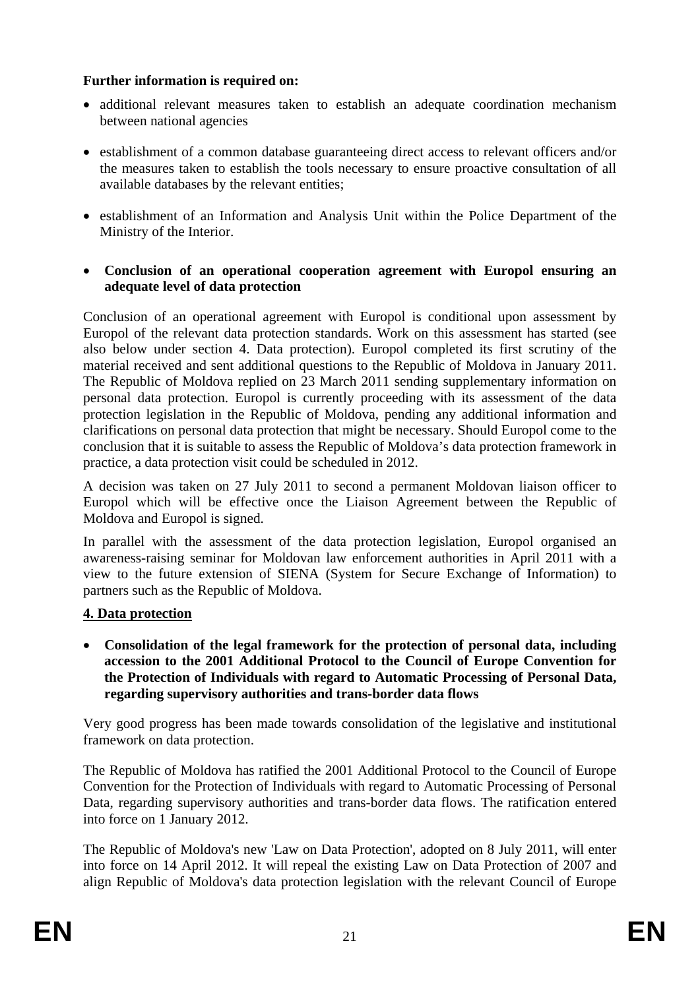## **Further information is required on:**

- additional relevant measures taken to establish an adequate coordination mechanism between national agencies
- establishment of a common database guaranteeing direct access to relevant officers and/or the measures taken to establish the tools necessary to ensure proactive consultation of all available databases by the relevant entities;
- establishment of an Information and Analysis Unit within the Police Department of the Ministry of the Interior.
- **Conclusion of an operational cooperation agreement with Europol ensuring an adequate level of data protection**

Conclusion of an operational agreement with Europol is conditional upon assessment by Europol of the relevant data protection standards. Work on this assessment has started (see also below under section 4. Data protection). Europol completed its first scrutiny of the material received and sent additional questions to the Republic of Moldova in January 2011. The Republic of Moldova replied on 23 March 2011 sending supplementary information on personal data protection. Europol is currently proceeding with its assessment of the data protection legislation in the Republic of Moldova, pending any additional information and clarifications on personal data protection that might be necessary. Should Europol come to the conclusion that it is suitable to assess the Republic of Moldova's data protection framework in practice, a data protection visit could be scheduled in 2012.

A decision was taken on 27 July 2011 to second a permanent Moldovan liaison officer to Europol which will be effective once the Liaison Agreement between the Republic of Moldova and Europol is signed.

In parallel with the assessment of the data protection legislation, Europol organised an awareness-raising seminar for Moldovan law enforcement authorities in April 2011 with a view to the future extension of SIENA (System for Secure Exchange of Information) to partners such as the Republic of Moldova.

## **4. Data protection**

• **Consolidation of the legal framework for the protection of personal data, including accession to the 2001 Additional Protocol to the Council of Europe Convention for the Protection of Individuals with regard to Automatic Processing of Personal Data, regarding supervisory authorities and trans-border data flows** 

Very good progress has been made towards consolidation of the legislative and institutional framework on data protection.

The Republic of Moldova has ratified the 2001 Additional Protocol to the Council of Europe Convention for the Protection of Individuals with regard to Automatic Processing of Personal Data, regarding supervisory authorities and trans-border data flows. The ratification entered into force on 1 January 2012.

The Republic of Moldova's new 'Law on Data Protection', adopted on 8 July 2011, will enter into force on 14 April 2012. It will repeal the existing Law on Data Protection of 2007 and align Republic of Moldova's data protection legislation with the relevant Council of Europe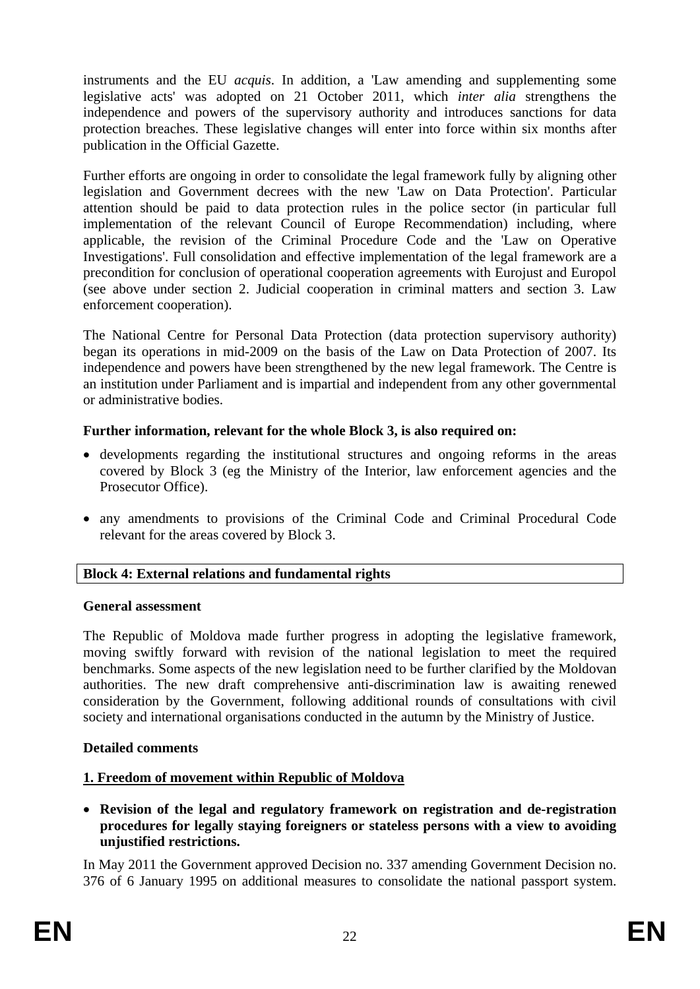instruments and the EU *acquis*. In addition, a 'Law amending and supplementing some legislative acts' was adopted on 21 October 2011, which *inter alia* strengthens the independence and powers of the supervisory authority and introduces sanctions for data protection breaches. These legislative changes will enter into force within six months after publication in the Official Gazette.

Further efforts are ongoing in order to consolidate the legal framework fully by aligning other legislation and Government decrees with the new 'Law on Data Protection'. Particular attention should be paid to data protection rules in the police sector (in particular full implementation of the relevant Council of Europe Recommendation) including, where applicable, the revision of the Criminal Procedure Code and the 'Law on Operative Investigations'. Full consolidation and effective implementation of the legal framework are a precondition for conclusion of operational cooperation agreements with Eurojust and Europol (see above under section 2. Judicial cooperation in criminal matters and section 3. Law enforcement cooperation).

The National Centre for Personal Data Protection (data protection supervisory authority) began its operations in mid-2009 on the basis of the Law on Data Protection of 2007. Its independence and powers have been strengthened by the new legal framework. The Centre is an institution under Parliament and is impartial and independent from any other governmental or administrative bodies.

## **Further information, relevant for the whole Block 3, is also required on:**

- developments regarding the institutional structures and ongoing reforms in the areas covered by Block 3 (eg the Ministry of the Interior, law enforcement agencies and the Prosecutor Office).
- any amendments to provisions of the Criminal Code and Criminal Procedural Code relevant for the areas covered by Block 3.

## **Block 4: External relations and fundamental rights**

## **General assessment**

The Republic of Moldova made further progress in adopting the legislative framework, moving swiftly forward with revision of the national legislation to meet the required benchmarks. Some aspects of the new legislation need to be further clarified by the Moldovan authorities. The new draft comprehensive anti-discrimination law is awaiting renewed consideration by the Government, following additional rounds of consultations with civil society and international organisations conducted in the autumn by the Ministry of Justice.

## **Detailed comments**

# **1. Freedom of movement within Republic of Moldova**

• **Revision of the legal and regulatory framework on registration and de-registration procedures for legally staying foreigners or stateless persons with a view to avoiding unjustified restrictions.** 

In May 2011 the Government approved Decision no. 337 amending Government Decision no. 376 of 6 January 1995 on additional measures to consolidate the national passport system.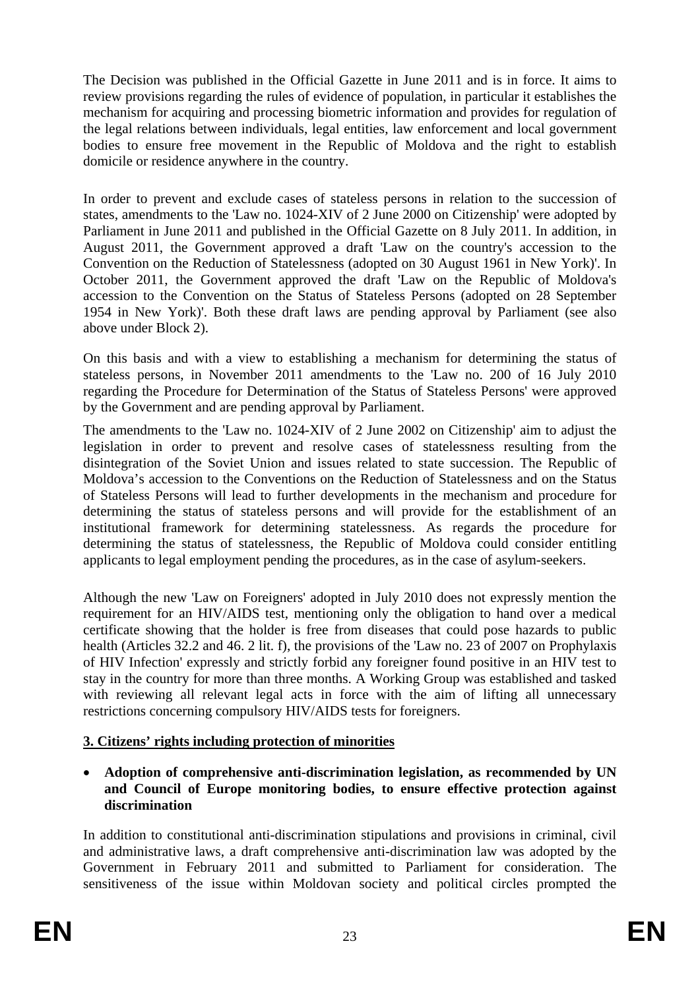The Decision was published in the Official Gazette in June 2011 and is in force. It aims to review provisions regarding the rules of evidence of population, in particular it establishes the mechanism for acquiring and processing biometric information and provides for regulation of the legal relations between individuals, legal entities, law enforcement and local government bodies to ensure free movement in the Republic of Moldova and the right to establish domicile or residence anywhere in the country.

In order to prevent and exclude cases of stateless persons in relation to the succession of states, amendments to the 'Law no. 1024-XIV of 2 June 2000 on Citizenship' were adopted by Parliament in June 2011 and published in the Official Gazette on 8 July 2011. In addition, in August 2011, the Government approved a draft 'Law on the country's accession to the Convention on the Reduction of Statelessness (adopted on 30 August 1961 in New York)'. In October 2011, the Government approved the draft 'Law on the Republic of Moldova's accession to the Convention on the Status of Stateless Persons (adopted on 28 September 1954 in New York)'. Both these draft laws are pending approval by Parliament (see also above under Block 2).

On this basis and with a view to establishing a mechanism for determining the status of stateless persons, in November 2011 amendments to the 'Law no. 200 of 16 July 2010 regarding the Procedure for Determination of the Status of Stateless Persons' were approved by the Government and are pending approval by Parliament.

The amendments to the 'Law no. 1024-XIV of 2 June 2002 on Citizenship' aim to adjust the legislation in order to prevent and resolve cases of statelessness resulting from the disintegration of the Soviet Union and issues related to state succession. The Republic of Moldova's accession to the Conventions on the Reduction of Statelessness and on the Status of Stateless Persons will lead to further developments in the mechanism and procedure for determining the status of stateless persons and will provide for the establishment of an institutional framework for determining statelessness. As regards the procedure for determining the status of statelessness, the Republic of Moldova could consider entitling applicants to legal employment pending the procedures, as in the case of asylum-seekers.

Although the new 'Law on Foreigners' adopted in July 2010 does not expressly mention the requirement for an HIV/AIDS test, mentioning only the obligation to hand over a medical certificate showing that the holder is free from diseases that could pose hazards to public health (Articles 32.2 and 46. 2 lit. f), the provisions of the 'Law no. 23 of 2007 on Prophylaxis of HIV Infection' expressly and strictly forbid any foreigner found positive in an HIV test to stay in the country for more than three months. A Working Group was established and tasked with reviewing all relevant legal acts in force with the aim of lifting all unnecessary restrictions concerning compulsory HIV/AIDS tests for foreigners.

## **3. Citizens' rights including protection of minorities**

• **Adoption of comprehensive anti-discrimination legislation, as recommended by UN and Council of Europe monitoring bodies, to ensure effective protection against discrimination** 

In addition to constitutional anti-discrimination stipulations and provisions in criminal, civil and administrative laws, a draft comprehensive anti-discrimination law was adopted by the Government in February 2011 and submitted to Parliament for consideration. The sensitiveness of the issue within Moldovan society and political circles prompted the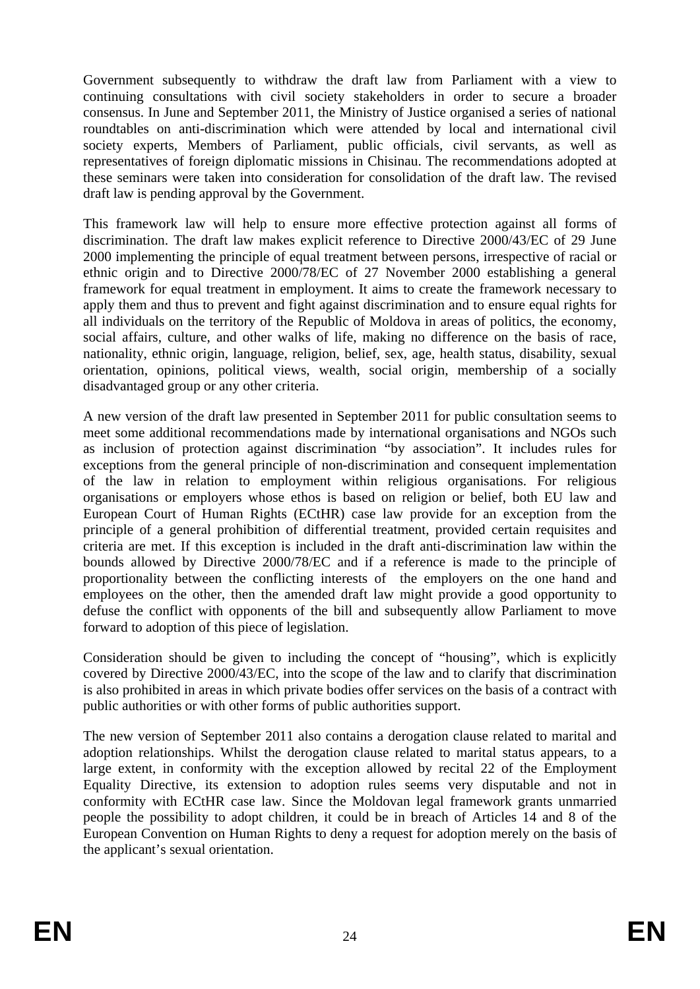Government subsequently to withdraw the draft law from Parliament with a view to continuing consultations with civil society stakeholders in order to secure a broader consensus. In June and September 2011, the Ministry of Justice organised a series of national roundtables on anti-discrimination which were attended by local and international civil society experts, Members of Parliament, public officials, civil servants, as well as representatives of foreign diplomatic missions in Chisinau. The recommendations adopted at these seminars were taken into consideration for consolidation of the draft law. The revised draft law is pending approval by the Government.

This framework law will help to ensure more effective protection against all forms of discrimination. The draft law makes explicit reference to Directive 2000/43/EC of 29 June 2000 implementing the principle of equal treatment between persons, irrespective of racial or ethnic origin and to Directive 2000/78/EC of 27 November 2000 establishing a general framework for equal treatment in employment. It aims to create the framework necessary to apply them and thus to prevent and fight against discrimination and to ensure equal rights for all individuals on the territory of the Republic of Moldova in areas of politics, the economy, social affairs, culture, and other walks of life, making no difference on the basis of race, nationality, ethnic origin, language, religion, belief, sex, age, health status, disability, sexual orientation, opinions, political views, wealth, social origin, membership of a socially disadvantaged group or any other criteria.

A new version of the draft law presented in September 2011 for public consultation seems to meet some additional recommendations made by international organisations and NGOs such as inclusion of protection against discrimination "by association". It includes rules for exceptions from the general principle of non-discrimination and consequent implementation of the law in relation to employment within religious organisations. For religious organisations or employers whose ethos is based on religion or belief, both EU law and European Court of Human Rights (ECtHR) case law provide for an exception from the principle of a general prohibition of differential treatment, provided certain requisites and criteria are met. If this exception is included in the draft anti-discrimination law within the bounds allowed by Directive 2000/78/EC and if a reference is made to the principle of proportionality between the conflicting interests of the employers on the one hand and employees on the other, then the amended draft law might provide a good opportunity to defuse the conflict with opponents of the bill and subsequently allow Parliament to move forward to adoption of this piece of legislation.

Consideration should be given to including the concept of "housing", which is explicitly covered by Directive 2000/43/EC, into the scope of the law and to clarify that discrimination is also prohibited in areas in which private bodies offer services on the basis of a contract with public authorities or with other forms of public authorities support.

The new version of September 2011 also contains a derogation clause related to marital and adoption relationships. Whilst the derogation clause related to marital status appears, to a large extent, in conformity with the exception allowed by recital 22 of the Employment Equality Directive, its extension to adoption rules seems very disputable and not in conformity with ECtHR case law. Since the Moldovan legal framework grants unmarried people the possibility to adopt children, it could be in breach of Articles 14 and 8 of the European Convention on Human Rights to deny a request for adoption merely on the basis of the applicant's sexual orientation.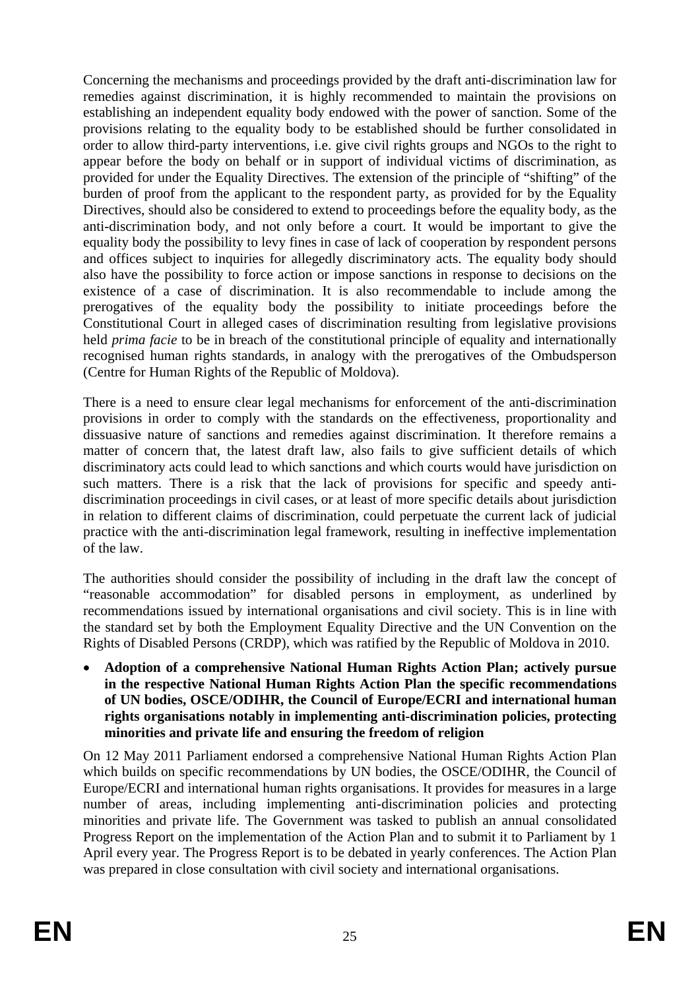Concerning the mechanisms and proceedings provided by the draft anti-discrimination law for remedies against discrimination, it is highly recommended to maintain the provisions on establishing an independent equality body endowed with the power of sanction. Some of the provisions relating to the equality body to be established should be further consolidated in order to allow third-party interventions, i.e. give civil rights groups and NGOs to the right to appear before the body on behalf or in support of individual victims of discrimination, as provided for under the Equality Directives. The extension of the principle of "shifting" of the burden of proof from the applicant to the respondent party, as provided for by the Equality Directives, should also be considered to extend to proceedings before the equality body, as the anti-discrimination body, and not only before a court. It would be important to give the equality body the possibility to levy fines in case of lack of cooperation by respondent persons and offices subject to inquiries for allegedly discriminatory acts. The equality body should also have the possibility to force action or impose sanctions in response to decisions on the existence of a case of discrimination. It is also recommendable to include among the prerogatives of the equality body the possibility to initiate proceedings before the Constitutional Court in alleged cases of discrimination resulting from legislative provisions held *prima facie* to be in breach of the constitutional principle of equality and internationally recognised human rights standards, in analogy with the prerogatives of the Ombudsperson (Centre for Human Rights of the Republic of Moldova).

There is a need to ensure clear legal mechanisms for enforcement of the anti-discrimination provisions in order to comply with the standards on the effectiveness, proportionality and dissuasive nature of sanctions and remedies against discrimination. It therefore remains a matter of concern that, the latest draft law, also fails to give sufficient details of which discriminatory acts could lead to which sanctions and which courts would have jurisdiction on such matters. There is a risk that the lack of provisions for specific and speedy antidiscrimination proceedings in civil cases, or at least of more specific details about jurisdiction in relation to different claims of discrimination, could perpetuate the current lack of judicial practice with the anti-discrimination legal framework, resulting in ineffective implementation of the law.

The authorities should consider the possibility of including in the draft law the concept of "reasonable accommodation" for disabled persons in employment, as underlined by recommendations issued by international organisations and civil society. This is in line with the standard set by both the Employment Equality Directive and the UN Convention on the Rights of Disabled Persons (CRDP), which was ratified by the Republic of Moldova in 2010.

• **Adoption of a comprehensive National Human Rights Action Plan; actively pursue in the respective National Human Rights Action Plan the specific recommendations of UN bodies, OSCE/ODIHR, the Council of Europe/ECRI and international human rights organisations notably in implementing anti-discrimination policies, protecting minorities and private life and ensuring the freedom of religion** 

On 12 May 2011 Parliament endorsed a comprehensive National Human Rights Action Plan which builds on specific recommendations by UN bodies, the OSCE/ODIHR, the Council of Europe/ECRI and international human rights organisations. It provides for measures in a large number of areas, including implementing anti-discrimination policies and protecting minorities and private life. The Government was tasked to publish an annual consolidated Progress Report on the implementation of the Action Plan and to submit it to Parliament by 1 April every year. The Progress Report is to be debated in yearly conferences. The Action Plan was prepared in close consultation with civil society and international organisations.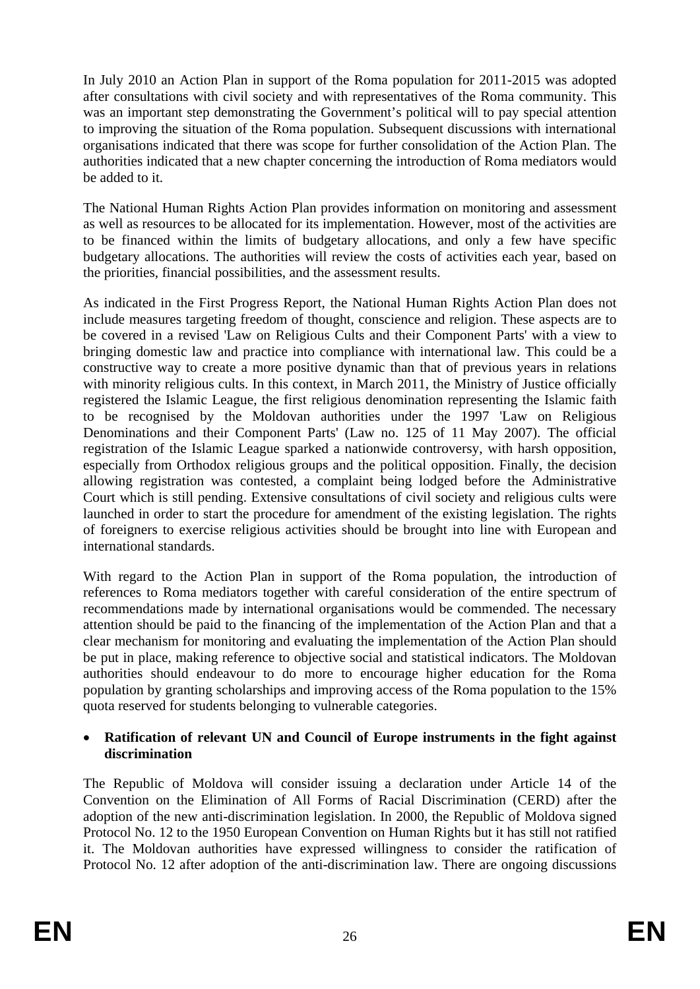In July 2010 an Action Plan in support of the Roma population for 2011-2015 was adopted after consultations with civil society and with representatives of the Roma community. This was an important step demonstrating the Government's political will to pay special attention to improving the situation of the Roma population. Subsequent discussions with international organisations indicated that there was scope for further consolidation of the Action Plan. The authorities indicated that a new chapter concerning the introduction of Roma mediators would be added to it.

The National Human Rights Action Plan provides information on monitoring and assessment as well as resources to be allocated for its implementation. However, most of the activities are to be financed within the limits of budgetary allocations, and only a few have specific budgetary allocations. The authorities will review the costs of activities each year, based on the priorities, financial possibilities, and the assessment results.

As indicated in the First Progress Report, the National Human Rights Action Plan does not include measures targeting freedom of thought, conscience and religion. These aspects are to be covered in a revised 'Law on Religious Cults and their Component Parts' with a view to bringing domestic law and practice into compliance with international law. This could be a constructive way to create a more positive dynamic than that of previous years in relations with minority religious cults. In this context, in March 2011, the Ministry of Justice officially registered the Islamic League, the first religious denomination representing the Islamic faith to be recognised by the Moldovan authorities under the 1997 'Law on Religious Denominations and their Component Parts' (Law no. 125 of 11 May 2007). The official registration of the Islamic League sparked a nationwide controversy, with harsh opposition, especially from Orthodox religious groups and the political opposition. Finally, the decision allowing registration was contested, a complaint being lodged before the Administrative Court which is still pending. Extensive consultations of civil society and religious cults were launched in order to start the procedure for amendment of the existing legislation. The rights of foreigners to exercise religious activities should be brought into line with European and international standards.

With regard to the Action Plan in support of the Roma population, the introduction of references to Roma mediators together with careful consideration of the entire spectrum of recommendations made by international organisations would be commended. The necessary attention should be paid to the financing of the implementation of the Action Plan and that a clear mechanism for monitoring and evaluating the implementation of the Action Plan should be put in place, making reference to objective social and statistical indicators. The Moldovan authorities should endeavour to do more to encourage higher education for the Roma population by granting scholarships and improving access of the Roma population to the 15% quota reserved for students belonging to vulnerable categories.

#### • **Ratification of relevant UN and Council of Europe instruments in the fight against discrimination**

The Republic of Moldova will consider issuing a declaration under Article 14 of the Convention on the Elimination of All Forms of Racial Discrimination (CERD) after the adoption of the new anti-discrimination legislation. In 2000, the Republic of Moldova signed Protocol No. 12 to the 1950 European Convention on Human Rights but it has still not ratified it. The Moldovan authorities have expressed willingness to consider the ratification of Protocol No. 12 after adoption of the anti-discrimination law. There are ongoing discussions